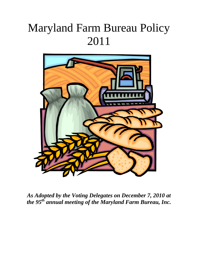# Maryland Farm Bureau Policy 2011



*As Adopted by the Voting Delegates on December 7, 2010 at the 95th annual meeting of the Maryland Farm Bureau, Inc.*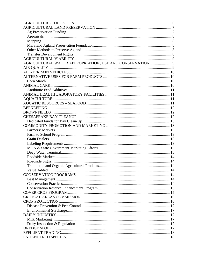| AGRICULTURAL WATER APPROPRIATION, USE AND CONSERVATION  9 |  |
|-----------------------------------------------------------|--|
|                                                           |  |
|                                                           |  |
|                                                           |  |
|                                                           |  |
|                                                           |  |
|                                                           |  |
|                                                           |  |
|                                                           |  |
|                                                           |  |
|                                                           |  |
|                                                           |  |
|                                                           |  |
|                                                           |  |
|                                                           |  |
|                                                           |  |
|                                                           |  |
|                                                           |  |
|                                                           |  |
|                                                           |  |
|                                                           |  |
|                                                           |  |
|                                                           |  |
|                                                           |  |
|                                                           |  |
|                                                           |  |
|                                                           |  |
|                                                           |  |
|                                                           |  |
|                                                           |  |
|                                                           |  |
|                                                           |  |
|                                                           |  |
|                                                           |  |
|                                                           |  |
|                                                           |  |
|                                                           |  |
|                                                           |  |
|                                                           |  |
|                                                           |  |
|                                                           |  |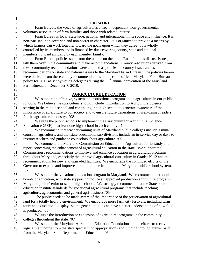| $\mathbf{1}$     |                                                                                                          |
|------------------|----------------------------------------------------------------------------------------------------------|
| $\sqrt{2}$       | <b>FOREWORD</b>                                                                                          |
| $\overline{3}$   | Farm Bureau, the voice of agriculture, is a free, independent, non-governmental                          |
| $\overline{4}$   | voluntary association of farm families and those with related interest.                                  |
| 5                | Farm Bureau is local, statewide, national and international in its scope and influence. It is            |
| 6                | non-partisan, non-sectarian and non-secret in character. It is organized to provide a means by           |
| $\boldsymbol{7}$ | which farmers can work together toward the goals upon which they agree. It is wholly                     |
| $8\,$            | controlled by its members and is financed by dues covering county, state and national                    |
| 9                | membership, paid annually by each member family.                                                         |
| 10               | Farm Bureau policies stem from the people on the land. Farm families discuss issues,                     |
| 11               | talk them over in the community and make recommendations. County resolutions derived from                |
| 12               | these community recommendations were adopted as policies on county issues and as                         |
| 13               | recommendations on state and national issues to the Maryland Farm Bureau. The policies herein            |
| 14               | were derived from these county recommendations and became official Maryland Farm Bureau                  |
| 15               | policy for 2011 as set by voting delegates during the 95 <sup>th</sup> annual convention of the Maryland |
| 16               | Farm Bureau on December 7, 2010.                                                                         |
| 17               |                                                                                                          |
| 18               | <b>AGRICULTURE EDUCATION</b>                                                                             |
| 19               | We support an effective, systematic instructional program about agriculture in our public                |
| 20               | schools. We believe the curriculum should include "Introduction to Agriculture Science"                  |
| 21               | starting in the middle school and continuing into high school to generate awareness of the               |
| 22               | importance of agriculture to our society and to ensure future generations of well-trained leaders        |
| 23               | for the agricultural industry. '08                                                                       |
| 24               | We urge the public schools to implement the Curriculum for Agricultural Science                          |
| 25               | Education (CASE) in at least one high school in each county. '10                                         |
| 26               | We recommend that teacher-training units of Maryland public colleges include a mini-                     |
| 27               | course in agriculture, and that state educational sub-divisions include an in-service day or days to     |
| 28               | instruct teachers and guidance counselors about agriculture. '05                                         |
| 29               | We commend the Maryland Commission on Education in Agriculture for its study and                         |
| 30               | report concerning the enhancement of agricultural education in the state. We support the                 |
| 31               | Commission's recommendations to improve and enhance education in agricultural programs                   |
| 32               | throughout Maryland, especially the improved agricultural curriculum in Grades K-12 and the              |
| 33               | recommendations for new and upgraded facilities. We encourage the continued efforts of the               |
| 34               | Governor to expand and improve agricultural curriculum in the Maryland public school system.             |
| 35               | '07                                                                                                      |
| 36               | We support the vocational education program in Maryland. We recommend that local                         |
| 37               | boards of education, with state support, introduce an approved production agriculture program in         |
| 38               | Maryland junior/senior or senior high schools. We strongly recommend that the State board of             |
| 39               | education institute standards for vocational agricultural programs that include teaching                 |
| 40               | agriculture, ag economics and general agri-business.'05                                                  |
| 41               | The public needs to be made aware of the importance of the preservation of agricultural                  |
| 42               | land for a totally healthy environment. We encourage more farm city festivals, including farm            |
| 43               | tours and educational displays so the general public can have a better understanding of how food         |
| 44               | is produced. '08                                                                                         |
| 45               | We urge the introduction or expansion of agricultural programs in the community                          |
| 46               | colleges throughout the state. '07                                                                       |
| 47               | We support the Maryland Agriculture Education Foundation and its efforts to receive                      |
| 48               | legislative funding from the state special fund appropriations and funding through grant-in-aid          |
| 49               | from the Maryland State Department of Education. '06                                                     |
|                  |                                                                                                          |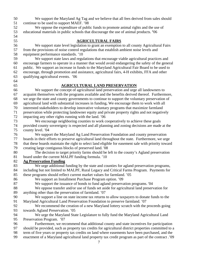50 We support the Maryland Ag Tag and we believe that all fees derived from sales should 51 continue to be used to support MAEF. '08

52 We oppose the expenditure of public funds to promote animal rights and the use of 53 educational materials in public schools that discourage the use of animal products. **'**06 54

55 **AGRICULTURAL FAIRS**

56 We support state level legislation to grant an exemption to all county Agricultural Fairs 57 from the provisions of noise control regulations that establish ambient noise levels and 58 equipment performance standards. '10

59 We support state laws and regulations that encourage viable agricultural practices and 60 encourage farmers to operate in a manner that would avoid endangering the safety of the general 61 public. We support an increase in funds to the Maryland Agricultural Fair Board to be used to 62 encourage, through promotion and assistance, agricultural fairs, 4-H exhibits, FFA and other 63 qualifying agricultural events.'06

# 64

65 **AGRICULTURAL LAND PRESERVATION**

66 We support the concept of agricultural land preservation and urge all landowners to 67 acquaint themselves with the programs available and the benefits derived thereof. Furthermore, 68 we urge the state and county governments to continue to support the voluntary preservation of 69 agricultural land with substantial increases in funding**.** We encourage them to work with all 70 interested stakeholders to develop innovative voluntary programs that maximize farmland 71 preservation while protecting landowner equity and private property rights and not negatively 72 impacting any other rights running with the land. '06 73 We encourage neighboring counties to work cooperatively to achieve these goals 74 provided county sovereignty is respected and all planning and zoning decisions are made at the 75 county level. *'*04 76 We support the Maryland Ag Land Preservation Foundation and county preservation 77 boards in their efforts to preserve agricultural land throughout the state. Furthermore, we urge 78 that these boards maintain the right to select land eligible for easement sale with priority toward 79 creating large contiguous blocks of preserved land. '08 80 The decision to target priority farms should be left to the county's Agland preservation

81 board under the current MALPF funding formula. '10

### 82 **Ag Preservation Funding**

- 83 We urge additional funding by the state and counties for agland preservation programs, 84 including but not limited to MALPF, Rural Legacy and Critical Farms Program. Payments for 85 these programs should reflect current market values for farmland. '05
- 86 We support an Installment Purchase Program option. '09
- 87 We support the issuance of bonds to fund agland preservation programs. '04
- 88 We oppose transfer and/or use of funds set aside for agricultural land preservation for 89 anything other than the preservation of farmland. '07
- 90 We support a line on state income tax returns to allow taxpayers to donate funds to the 91 Maryland Agricultural Land Preservation Foundation to preserve farmland. '07
- 92 We recommend the creation of a new Maryland lottery scratch with the proceeds going 93 towards Agland Preservation. '05
- 94 We urge the Maryland State Legislature to fully fund the Maryland Agricultural Land 95 Preservation Program.'07
- 96 Furthermore, we recommend that additional county and state incentives for participation 97 should be provided, such as property tax credits for agricultural district properties committed to a
- 98 term of five years or property tax credits on land where easements have been purchased, and the
- 99 enactment of a Maryland agricultural land property tax credit program as part of the contract .'09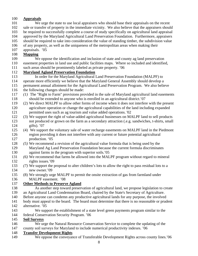### 100 **Appraisals**

- 101 We urge the state to use local appraisers who should base their appraisals on the recent 102 sale or transfer of property in the immediate vicinity. We also believe that the appraisers should 103 be required to successfully complete a course of study specifically on agricultural land appraisal
- 104 approved by the Maryland Agricultural Land Preservation Foundation. Furthermore, appraisers
- 105 should be required to take into consideration the value of standing timber, the subdivision value
- 106 of any property, as well as the uniqueness of the metropolitan areas when making their
- 107 appraisals. '05

# 108 **Mapping**

- 109 We oppose the identification and inclusion of state and county ag land preservation 110 easement properties in land use and public facilities maps. Where so included and identified,
- 111 such areas should be prominently labeled as private property*.* '06

# 112 **Maryland Agland Preservation Foundation**

- 113 In order for the Maryland Agricultural Land Preservation Foundation (MALPF) to
- 114 operate more efficiently we believe that the Maryland General Assembly should develop a 115 permanent annual allotment for the Agricultural Land Preservation Program. We also believe
- 116 the following changes should be made:
- 117 *(1)* The "Right to Farm" provisions provided in the sale of Maryland agricultural land easements 118 should be extended to anyone who is enrolled in an agricultural district.'07
- 119 (2) We direct MALPF to allow other forms of income when it does not interfere with the present 120 agriculture operation or change the agricultural capabilities of the land including expanded 121 permitted uses such as ag tourism and value added operations. '02
- 122 (3) We support the right of value-added agricultural businesses on MALPF land to sell products 123 not produced or grown on the farm as a secondary attraction (.e.g. sandwiches, t-shirts, small 124 gifts). '07
- 125 (4) We support the voluntary sale of water recharge easements on MALPF land in the Piedmont 126 region providing it does not interfere with any current or future potential agricultural 127 production. '05
- 128 *(5)* We recommend a revision of the agricultural value formula that is being used by the 129 Maryland Ag Land Preservation Foundation because the current formula discriminates 130 against farms in the program with superior soils.'05
- 131 *(6)* We recommend that farms be allowed into the MALPF program without regard to mineral 132 rights issues.'09
- 133 *(7)* We support the proposal to alter children's lots to allow the right to pass residual lots to a 134 new owner*.*'09
- 135 (8) We strongly urge MALPF to permit the onsite extraction of gas from farmland under 136 MALPF easement. '08

# 137 **Other Methods to Preserve Agland**

- 138 As another step toward preservation of agricultural land, we propose legislation to create
- 139 an Agricultural Land Condemnation Board, chaired by the State's Secretary of Agriculture.
- 140 Before anyone can condemn any productive agricultural lands for any purpose, the involved
- 141 body must appeal to the board. The board must determine that there is no reasonable or prudent
- 142 alternative*.* '05
- 143 We support the establishment of a state level green payments program similar to the
- 144 federal Conservation Security Program. '06

# 145 **Soil Surveys**

146 We urge the Natural Resource Conservation Service to complete the updating of the 147 county soil surveys for Maryland to include numerical productivity indexes. '06

# 148 **Transfer Development Rights**

149 We oppose the conveyance of Transferable Development Rights across county lines.'06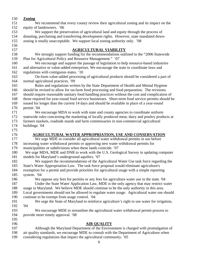- 150 **Zoning** 151 We recommend that every county review their agricultural zoning and its impact on the 152 equity of landowners. '06 153 We support the preservation of agricultural land and equity through the process of 154 donating, purchasing and transferring development rights. However, state mandated down-155 zoning is totally unacceptable. We support local zoning authority only. '08 156 157 **AGRICULTURAL VIABILITY** 158 We strongly support funding for the recommendations outlined in the "2006 Statewide 159 Plan for Agricultural Policy and Resource Management." '07 160 We encourage and support the passage of legislation to help resource-based industries 161 and alternative or value-added enterprises. We encourage the state to coordinate laws and 162 regulations with contiguous states. '10 163 On-farm value-added processing of agricultural products should be considered a part of 164 normal agricultural practices. '09 165 Rules and regulations written by the State Department of Health and Mental Hygiene 166 should be revised to allow for on-farm food processing and food preparation. The revisions 167 should require reasonable sanitary food handling practices without the cost and complication of 168 those required for year-round food service businesses. Short-term food service permits should be 169 issued for longer than the current 14 days and should be available in place of a year-round 170 permit. '04 171 We encourage MDA to work with state and county agencies to coordinate uniform 172 statewide rules concerning the marketing of locally produced meat, dairy and poultry products at 173 farmers markets, roadside stands and farm commissaries in non-commercial agricultural 174 buildings. '04 175 176 **AGRICULTURAL WATER APPROPRIATION, USE AND CONSERVATION** 177 We urge MDE to consider all agricultural water withdrawal permits in use before 178 increasing water withdrawal permits or approving new water withdrawal permits for 179 municipalities or subdivisions when these lands coincide. '07 180 We urge MDA, MDE and DNR to work with the U.S. Geological Survey in updating computer 181 models for Maryland's underground aquifers. '07 182 We support the recommendations of the Agricultural Water Use task force regarding the 183 State's Water Appropriation Law. The task force proposal would eliminate agriculture's 184 exemption for a permit and provide priorities for agricultural usage with a simple reporting 185 system. '04 186 We oppose any fees for permits or any fees for agriculture water use in the state. '04 187 Under the State Water Application Law, MDE is the only agency that may restrict water 188 usage in Maryland. We believe MDE should continue to be the only authority in this area. 189 Local governments should not be allowed to regulate water usage. Agricultural water use should 190 continue to be exempt from usage control. '04 191 We urge the State of Maryland to reinforce agriculture's right to use water for irrigation**.** 192 '04 193 We encourage MDE to streamline the agricultural water withdrawal permit process to 194 provide more timely approval. '08 195 196 **AIR QUALITY** 197 Although the Maryland Department of the Environment is charged with promulgation of 198 air quality standards, we encourage MDE to consult with the Department of Agriculture when
- 199 considering regulations that impact the agricultural community. '05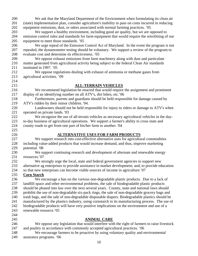| 200        | We ask that the Maryland Department of the Environment when formulating its clean air                                                                             |
|------------|-------------------------------------------------------------------------------------------------------------------------------------------------------------------|
| 201        | (state) implementation plan, consider agriculture's inability to pass on costs incurred in reducing                                                               |
| 202        | equipment emissions, dust, or odors associated with normal farming practices. '05                                                                                 |
| 203        | We support a healthy environment, including good air quality, but we are opposed to                                                                               |
| 204        | emission control rules and standards for farm equipment that would require the retrofitting of our                                                                |
| 205        | equipment to meet those standards. '05                                                                                                                            |
| 206        | We urge repeal of the Emission Control Act of Maryland. In the event the program is not                                                                           |
| 207        | repealed, the dynamometer testing should be voluntary. We support a review of the program to                                                                      |
| 208        | evaluate cost and determine its effectiveness. '05                                                                                                                |
| 209        | We oppose exhaust emissions from farm machinery along with dust and particulate                                                                                   |
| 210        | matter generated from agricultural activity being subject to the federal Clean Air standards                                                                      |
| 211        | instituted in 1997. '05                                                                                                                                           |
| 212        | We oppose regulations dealing with exhaust of ammonia or methane gases from                                                                                       |
| 213        | agricultural activities. '09                                                                                                                                      |
| 214        |                                                                                                                                                                   |
| 215        | <b>ALL-TERRAIN VEHICLES</b>                                                                                                                                       |
| 216        | We recommend legislation be enacted that would require the assignment and prominent                                                                               |
| 217        | display of an identifying number on all ATV's, dirt bikes, etc.'06                                                                                                |
| 218        | Furthermore, parents and guardians should be held responsible for damage caused by                                                                                |
| 219        | ATV's ridden by their minor children. '04.                                                                                                                        |
| 220        | Landowners should not be held responsible for injury to riders or damage to ATV's when                                                                            |
| 221        | operated on private lands. '03                                                                                                                                    |
| 222        | We recognize the use of all-terrain vehicles as necessary agricultural vehicles in the day-                                                                       |
| 223        | to-day business of agricultural operations. We support a farmer's ability to cross state and                                                                      |
| 224        | county roads to get from one part of his/her farm to another. '04                                                                                                 |
| 225        |                                                                                                                                                                   |
| 226        | <b>ALTERNATIVE USES FOR FARM PRODUCTS</b>                                                                                                                         |
| 227<br>228 | We support research into cost-effective alternative uses for agricultural commodities                                                                             |
| 229        | including value-added products that would increase demand, and thus, improve marketing<br>potential. '08                                                          |
| 230        | We support continuing research and development of alternate and renewable energy                                                                                  |
| 231        | resources.'07                                                                                                                                                     |
| 232        | We strongly urge the local, state and federal government agencies to support new                                                                                  |
| 233        | alternative ag enterprises to provide assistance in market development; and, to provide education                                                                 |
| 234        | so that new enterprises can become viable sources of income in agriculture.'07                                                                                    |
| 235        | <b>Corn Starch</b>                                                                                                                                                |
| 236        | We encourage a ban on the various non-degradable plastic products. Due to a lack of                                                                               |
| 237        | landfill space and other environmental problems, the sale of biodegradable plastic products                                                                       |
| 238        | should be phased into law over the next several years. County, state and national laws should                                                                     |
| 239        | prohibit the use of non-degradable six-pack rings, the sale of non-degradable grocery bags and                                                                    |
| 240        | trash bags, and the sale of non-degradable disposable diapers. Biodegradable plastics should be                                                                   |
| 241        | manufactured by the plastics industry, using cornstarch in its manufacturing process. The use of                                                                  |
| 242        | biodegradable products will have very positive implications on the environment and use of a                                                                       |
| 243        | renewable resource.'05                                                                                                                                            |
| 244        |                                                                                                                                                                   |
| 245        | <b>ANIMAL CARE</b>                                                                                                                                                |
| 246        | We oppose any legislation that would interfere with the right of farmers to raise livestock                                                                       |
|            |                                                                                                                                                                   |
| 247<br>248 | and poultry in accordance with commonly accepted agricultural practices. '06<br>We encourage farmers to be proactive by using voluntary quality and environmental |

249 assurance programs. '06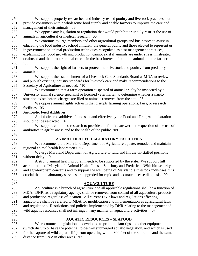| 250 | We support properly researched and industry-tested poultry and livestock practices that             |
|-----|-----------------------------------------------------------------------------------------------------|
|     |                                                                                                     |
| 251 | provide consumers with a wholesome food supply and enable farmers to improve the care and           |
| 252 | management of their animals. '06                                                                    |
| 253 | We oppose any legislation or regulation that would prohibit or unduly restrict the use of           |
| 254 | animals in agricultural or medical research. '06                                                    |
| 255 | We continue to urge members and other agricultural groups and businesses to assist in               |
| 256 | educating the food industry, school children, the general public and those elected to represent us  |
| 257 | in government on animal production techniques recognized as best management practices,              |
| 258 | explaining that good growth and production cannot exist if animals are under stress, mistreated     |
| 259 | or abused and that proper animal care is in the best interest of both the animal and the farmer.    |
| 260 | .09                                                                                                 |
| 261 | We support the right of farmers to protect their livestock and poultry from predatory               |
| 262 | animals. '06                                                                                        |
| 263 | We support the establishment of a Livestock Care Standards Board at MDA to review                   |
| 264 | and publish existing industry standards for livestock care and make recommendations to the          |
| 265 |                                                                                                     |
|     | Secretary of Agriculture as needed. '10                                                             |
| 266 | We recommend that a farm operation suspected of animal cruelty be inspected by a                    |
| 267 | University animal science specialist or licensed veterinarian to determine whether a cruelty        |
| 268 | situation exists before charges are filed or animals removed from the site. '06                     |
| 269 | We oppose animal rights activism that disrupts farming operations, fairs, or research               |
| 270 | facilities. '06                                                                                     |
| 271 | <b>Antibiotic Feed Additives</b>                                                                    |
| 272 | Antibiotic feed additives found safe and effective by the Food and Drug Administration              |
| 273 | should not be restricted. '07                                                                       |
| 274 | We support continued research to provide a definitive answer to the question of the use of          |
| 275 | antibiotics in agribusiness and to the health of the public. '09                                    |
| 276 |                                                                                                     |
| 277 | ANIMAL HEALTH LABORATORY FACILITIES                                                                 |
| 278 | We recommend the Maryland Department of Agriculture update, remodel and maintain                    |
| 279 | regional animal health laboratories. '08                                                            |
| 280 | We urge Maryland Department of Agriculture to fund and fill the un-staffed positions                |
| 281 | without delay.'10                                                                                   |
| 282 | A strong animal health program needs to be supported by the state. We support full                  |
| 283 | accreditation of Maryland's Animal Health Labs at Salisbury and Frederick. With bio-security        |
| 284 | and agri-terrorism concerns and to support the well being of Maryland's livestock industries, it is |
| 285 | crucial that the laboratory services are upgraded for rapid and accurate disease diagnosis. '09     |
| 286 |                                                                                                     |
| 287 | <b>AQUACULTURE</b>                                                                                  |
| 288 | Aquaculture is a branch of agriculture and all applicable regulations shall be a function of        |
|     |                                                                                                     |
| 289 | MDA. DNR, as a regulatory agency, shall be removed from control of all aquaculture products         |
| 290 | and production regardless of location. All current DNR laws and regulations affecting               |
| 291 | aquaculture shall be referred to MDA for modification and implementation as agricultural laws       |
| 292 | and regulations. Restrictions and policies implemented by DNR relating to the management of         |
| 293 | wild aquatic resources shall not infringe in any manner on aquaculture activities. '07              |
| 294 |                                                                                                     |
| 295 | <b>AQUATIC RESOURCES - SEAFOOD</b>                                                                  |
| 296 | We recommend legislation be developed to prohibit clam rigs and other equipment                     |
| 297 | (which disturb or have the potential to destroy submerged aquatic vegetation, and which is used     |
| 298 | for the capture of wild aquatic life) from operating within 300 feet of the shoreline and the same  |
| 299 | distance from SAV in other areas. '05                                                               |

11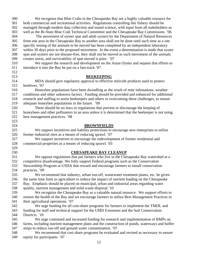| 300        | We recognize that Blue Crabs in the Chesapeake Bay are a highly valuable resource for              |
|------------|----------------------------------------------------------------------------------------------------|
| 301        | both commercial and recreational activities. Regulations controlling this fishery should be        |
| 302        | managed through modern data collection and sound science, with input from all stakeholders as      |
| 303        | well as the Bi-State Blue Crab Technical Committee and the Chesapeake Bay Commission. '06          |
| 304        | The movement of oyster spat and adult oysters by the Department of Natural Resources               |
| 305        | from one area in the Chesapeake Bay to another area shall not be done until such time as a site    |
| 306        | specific testing of the animals to be moved has been completed by an independent laboratory        |
| 307        | within 30 days prior to the proposed movement. In the event a determination is made that oyster    |
| 308        | spat and oysters are not disease-free, they shall not be moved as such movement of the animals     |
| 309        | creates stress, and survivability of spat moved is poor. '07                                       |
| 310        | We support the research and development on the Asian Oyster and request that efforts to            |
| 311        | introduce it into the Bay be put on a fast-track.'07                                               |
| 312        |                                                                                                    |
| 313        | <b>BEEKEEPING</b>                                                                                  |
| 314        | MDA should give regulatory approval to effective miticide products used to protect                 |
| 315        | beehives. '07                                                                                      |
| 316        | Honeybee populations have been dwindling as the result of mite infestations, weather               |
| 317        | conditions and other unknown factors. Funding should be provided and enhanced for additional       |
| 318        | research and staffing to assist beekeepers and others in overcoming these challenges, to ensure    |
| 319        | adequate honeybee populations in the future. '09                                                   |
| 320        | There should be no laws or regulations that prevent or discourage the keeping of                   |
| 321        | honeybees and other pollinators in an area unless it is determined that the beekeeper is not using |
| 322        | best management practices. '08                                                                     |
| 323        |                                                                                                    |
| 324        | <b>BROWNFIELDS</b>                                                                                 |
| 325        | We support incentives and liability protections to encourage new enterprises to utilize            |
| 326        |                                                                                                    |
|            | former industrial sites as a means of reducing sprawl. '07                                         |
| 327        | We support incentives to encourage the redevelopment of former residential and                     |
| 328        | commercial properties as a means of reducing sprawl. '03                                           |
| 329        |                                                                                                    |
| 330<br>331 | <b>CHESAPEAKE BAY CLEANUP</b>                                                                      |
|            | We oppose regulations that put farmers who live in the Chesapeake Bay watershed at a               |
| 332        | competitive disadvantage. We fully support Federal programs such as the Conservation               |
| 333        | Stewardship Program at USDA that reward and encourage farmers to install conservation              |
| 334        | practices. '09                                                                                     |
| 335        | We recommend that industry, urban run-off, wastewater treatment plants, etc. be given              |
| 336        | the same time limit as agriculture to reduce the impact of nutrient loading on the Chesapeake      |
| 337        | Bay. Emphasis should be placed on municipal, urban and industrial areas regarding water            |
| 338        | quality, nutrient management and solid waste disposal.'10                                          |
| 339        | We recognize the Chesapeake Bay as a valuable natural resource. We support efforts to              |
| 340        | restore the health of the Bay and we encourage farmers to utilize Best Management Practices in     |
| 341        | their agricultural operations. '07                                                                 |
| 342        | We urge funding for all cost-share programs for farmers to implement the TMDL and                  |
| 343        | funding for staff and technical support for the UMD Extension and the Soil Conservation            |
| 344        | Districts. '10                                                                                     |
| 345        | We urge continued and increased funding for research and implementation of BMPs on                 |
| 346        | farms, including nutrient management plans and the construction of ponds, waterways and buffer     |
| 347        | strips to reduce run-off and ground water contamination. '07                                       |
| 348        | We recommend that cost share programs be evaluated and revised as necessary to ensure              |
| 349        | equity for participants. '07                                                                       |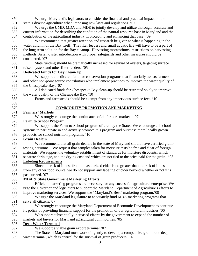- 350 We urge Maryland's legislators to consider the financial and practical impact on the 351 state's diverse agriculture when imposing new laws and regulations. '07 352 We urge the UMD, MDA and MDE to jointly develop and utilize thorough, accurate and 353 current information for describing the condition of the natural resource base in Maryland and the 354 contribution of the agricultural industry in protecting and enhancing that base. '09 355 We recommend that greater attention and research be given to what is happening in the 356 water column of the Bay itself. The filter feeders and small aquatic life will have to be a part of 357 the long term solution for the Bay cleanup. Harvesting moratoriums, restrictions on harvesting 358 methods, Asian oyster introduction with proper safeguards and other measures should be 359 considered. '07 360 State funding should be dramatically increased for revival of oysters, targeting surface 361 raised oysters and other filter feeders. '05 362 **Dedicated Funds for Bay Clean-Up** 363 We support a dedicated fund for conservation programs that financially assists farmers 364 and other non-point source contributors who implement practices to improve the water quality of 365 the Chesapeake Bay. '07 366 All dedicated funds for Chesapeake Bay clean-up should be restricted solely to improve 367 the water quality of the Chesapeake Bay. '10 368 Farms and farmsteads should be exempt from any impervious surface fees. '10 369 370 **COMMODITY PROMOTION AND MARKETING** 371 **Farmers' Markets**  372 We strongly encourage the continuance of all farmers markets. '07 373 **Farm to School Program** 374 We support the Farm-to-School program offered by the State. We encourage all school 375 systems to participate in and actively promote this program and purchase more locally grown 376 products for school nutrition programs. '10 377 **Grain Dealers**  378 We recommend that all grain dealers in the state of Maryland should have certified grain-379 testing personnel. We request that samples taken for moisture tests be free and clear of foreign 380 materials. We support the voluntary establishment of standards for moisture discounts, which 381 separate shrinkage, and the drying cost and which are not tied to the price paid for the grain.'05 382 **Labeling Requirements** 383 Since the risk of illness from unpasteurized cider is no greater than the risk of illness 384 from any other food source, we do not support any labeling of cider beyond whether or not it is 385 pasteurized. '07 386 **MDA & State Government Marketing Efforts** 387 Efficient marketing programs are necessary for any successful agricultural enterprise. We 388 urge the Governor and legislators to support the Maryland Department of Agriculture's efforts to 389 improve marketing services. We support the "Maryland's Best" marketing program.'09 390 We urge the Maryland legislature to adequately fund MDA marketing programs that 391 serve all citizens.'07 392 We strongly encourage the Maryland Department of Economic Development to continue 393 its policy of providing financial support for the promotion of our agricultural industries.'06 394 We support substantially increased efforts by the government to expand the number of 395 markets and buyers for Maryland agricultural commodities. '05 396 **Deep Water Terminal** 397 We support a viable grain export terminal.'07 398 The State of Maryland must work diligently to develop a competitive grain trade deep 399 water terminal, which is critical for the survival of grain producers. '07
	- 13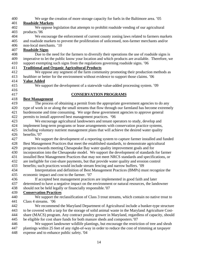400 We urge the creation of more storage capacity for fuels in the Baltimore area. '05

### 401 **Roadside Markets**

- 402 We oppose legislation that attempts to prohibit roadside vending of our agricultural 403 products.'06
- 404 We encourage the enforcement of current county zoning laws related to farmers markets 405 and roadside markets to prevent the proliferation of unlicensed, non-farmer merchants and/or
- 406 non-local merchants. '10

# 407 **Roadside Signs**

408 Due to the need for the farmers to diversify their operations the use of roadside signs is 409 imperative to let the public know your location and which products are available. Therefore, we 410 support exempting such signs from the regulations governing roadside signs. '06

### 411 **Traditional and Organic Agricultural Products**

412 We oppose any segment of the farm community promoting their production methods as 413 healthier or better for the environment without evidence to support those claims. '06

### 414 **Value Added**

- 
- 416

# 415 We support the development of a statewide value-added processing system. '09

# 417 **CONSERVATION PROGRAMS**

#### 418 **Best Management**

419 The process of obtaining a permit from the appropriate government agencies to do any 420 type of work in or along the small streams that flow through our farmland has become extremely 421 burdensome and time consuming. We urge these government agencies to approve general 422 permits to install approved best management practices*.* **'**06

423 We encourage agricultural landowners and tenant operators to study, develop and 424 implement long-term programs or lease arrangements with conservation practice systems,

- 425 including voluntary nutrient management plans that will achieve the desired water quality 426 benefits.'07
- 427 We support the development of a reporting system to capture farmer installed and funded 428 Best Management Practices that meet the established standards, to demonstrate agricultural
- 429 progress towards meeting Chesapeake Bay water quality improvement goals and for
- 430 incorporation into the Chesapeake model. We support the development of standards for farmer
- 431 installed Best Management Practices that may not meet NRCS standards and specifications, or
- 432 are ineligible for cost-share payments, but that provide water quality and erosion control
- 433 benefits; such practices would include stream fencing and narrow buffers. '09
- 434 Interpretation and definition of Best Management Practices (BMPs) must recognize the 435 economic impact and cost to the farmer. '07
- 436 If accepted best management practices are implemented in good faith and later
- 437 determined to have a negative impact on the environment or natural resources, the landowner
- 438 should not be held legally or financially responsible.'07
- 439 **Conservation Practices**
- 440 We support the reclassification of Class 3 trout streams, which contain no native trout to 441 Class 4 streams.'06

442 We recommend the Maryland Department of Agricultural include a bunker-type structure 443 to be covered with a tarp for the storage of solid animal waste in the Maryland Agriculture Cost-444 share (MACS) program. Any contract poultry grower in Maryland, regardless of capacity, should 445 be eligible for cost share funds for both manure sheds and composters.'07

446 We support landowner wildlife plantings, but encourage the restriction of tree and shrub 447 plantings within 25 feet of any right-of-way in order to reduce the cost of trimming at taxpayer 448 expense and to enhance public safety. '04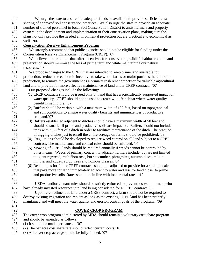449 We urge the state to assure that adequate funds be available to provide sufficient cost

450 sharing of approved soil conservation practices. We also urge the state to provide an adequate

- 451 number of trained personnel in local Soil Conservation District to assist farmers and property
- 452 owners in the development and implementation of their conservation plans, making sure the
- 453 plans not only provide the needed environmental protection but are practical and economical as
- 454 well. **'**06

#### 455 **Conservation Reserve Enhancement Program**

- 456 We strongly recommend that public agencies should not be eligible for funding under the 457 Conservation Reserve Enhancement Program (CREP). '07
- 458 We believe that programs that offer incentives for conservation, wildlife habitat creation and 459 preservation should minimize the loss of prime farmland while maintaining our natural 460 resources. '03
- 461 We propose changes to the CREP that are intended to keep prime land available for
- 462 production, reduce the economic incentive to take whole farms or major portions thereof out of
- 463 production, to remove the government as a primary cash rent competitor for valuable agricultural
- 464 land and to provide for more effective maintenance of land under CREP contract.'07
- 465 Our proposed changes include the following:
- 466 *(1)* CREP contracts should be issued only on land that has a scientifically supported impact on 467 water quality. CREP should not be used to create wildlife habitat where water quality 468 benefit is negligible. '07
- 469 (2) Buffers should be variable, with a maximum width of 100 feet, based on topographical 470 and soil conditions to ensure water quality benefits and minimize loss of productive 471 cropland.'07
- 472 (3) Buffers established adjacent to ditches should have a maximum width of 50 feet and 473 should be smaller if prime and productive soils are impacted. Buffers should not include 474 trees within 35 feet of a ditch in order to facilitate maintenance of the ditch. The practice 475 of digging ditches just to enroll the entire acreage on farms should be prohibited. '03
- 476 (4) Regulations should be developed to require weed control on all land subject to a CREP 477 contract. The maintenance and control rules should be enforced. '07
- 478 (5) Mowing of CREP lands should be required annually if weeds cannot be controlled by 479 other means. Weeds of primary concern to adjacent farmers include, but are not limited 480 to: giant ragweed, multiflora rose, burr cucumber, phragmites, autumn olive, mile-a-481 minute, and kudzu, scrub trees and noxious grasses. '04
- 482 (6) Rental rates for future CREP contracts should be adjusted to provide for a sliding-scale 483 that pays more for land immediately adjacent to water and less for land closer to prime 484 and productive soils. Rates should be in line with local rental rates. '10
- 485 486 USDA landlord/tenant rules should be strictly enforced to prevent losses to farmers who 487 have already invested resources into land being considered for a CREP contract. '02
- 488 Upon re-enrollment of land under a CREP contract, a farm should not be required to 489 destroy existing vegetation and replant as long as the existing CREP land has been properly 490 maintained and will meet the water quality and erosion control goals of the program. '09
- 491

#### 492 **COVER CROP PROGRAM**

- 493 The cover crop program administered by MDA should remain a voluntary cost-share program
- 494 and should be amended as follows:
- 495 (1) It should be made permanent. '07
- 496 (2) The per acre cost share rate should reflect current costs.'10
- 497 (3) All cover crop acreage should be fully funded. '07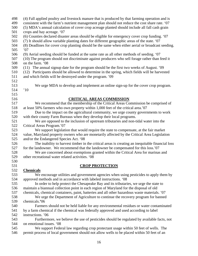| 498 | (4) Fall applied poultry and livestock manure that is produced by that farming operation and is   |
|-----|---------------------------------------------------------------------------------------------------|
| 499 | consistent with the farm's nutrient management plan should not reduce the cost share rate. '07    |
| 500 | (5) MDA's annual calculation of cover crop acreage planted should include all fall cash grain     |
| 501 | crops and hay acreage. '07                                                                        |
| 502 | (6) Counties declared disaster areas should be eligible for emergency cover crop funding. '07     |
| 503 | (7) It should allow variable planting dates for different geographic areas of the state. '07      |
| 504 | (8) Deadlines for cover crop planting should be the same when either aerial or broadcast seeding. |
| 505 | '07                                                                                               |
| 506 | (9) Aerial seeding should be funded at the same rate as all other methods of seeding. '07         |
| 507 | (10) The program should not discriminate against producers who sell forage rather than feed it    |
| 508 | on the farm. '08                                                                                  |
| 509 | (11) The annual signup date for the program should be the first two weeks of August. '09          |
| 510 | (12) Participants should be allowed to determine in the spring, which fields will be harvested    |
| 511 | and which fields will be destroyed under the program. '09                                         |
| 512 |                                                                                                   |
| 513 | We urge MDA to develop and implement an online sign-up for the cover crop program.                |
| 514 | 10                                                                                                |
| 515 |                                                                                                   |
| 516 | <b>CRITICAL AREAS COMMISSION</b>                                                                  |
| 517 | We recommend that the membership of the Critical Areas Commission be comprised of                 |
| 518 | at least 50% farmers who own property within 1,000 feet of the critical area.'07                  |
| 519 | Due to the impact on the agricultural community, we urge county governments to work               |
| 520 | with their county Farm Bureaus when they develop their local programs.                            |
| 521 | We are opposed to the inclusion of upstream tributaries and non-tidal water into the              |
| 522 | Critical Areas Program.'07                                                                        |
| 523 | We support legislation that would require the state to compensate, at the fair market             |
| 524 | value, Maryland property owners who are monetarily affected by the Critical Area Legislation      |
| 525 | and/or the Endangered Species Act. '08                                                            |
| 526 | The inability to harvest timber in the critical areas is creating an inequitable financial loss   |
| 527 | for the landowner. We recommend that the landowner be compensated for this loss.'07               |
| 528 | We are concerned about exemptions granted within the Critical Area for marinas and                |
| 529 | other recreational water related activities. '08                                                  |
| 530 |                                                                                                   |
| 531 | <b>CROP PROTECTION</b>                                                                            |
| 532 | <b>Chemicals</b>                                                                                  |
| 533 | We encourage utilities and government agencies when using pesticides to apply them by             |
| 534 | approved methods and in accordance with labeled instructions. '08                                 |
| 535 | In order to help protect the Chesapeake Bay and its tributaries, we urge the state to             |
| 536 | maintain a biannual collection point in each region of Maryland for the disposal of old           |
| 537 | chemicals, chemical containers, paint, batteries and all other hazardous waste materials. '07     |
| 538 | We urge the Department of Agriculture to continue the recovery program for banned                 |
| 539 | chemicals.'06                                                                                     |
| 540 | Farmers should not be held liable for any environmental residues or water contaminated            |
| 541 | by a farm chemical if the chemical was federally approved and used according to label             |
| 542 | instructions. '06                                                                                 |
| 543 | Furthermore, we believe the use of pesticides should be regulated by available facts, not         |
| 544 | on emotional issues. '08                                                                          |
| 545 | We support Federal law regarding crop protectant usage within 50 feet of wells. The               |
| 546 | permit process of local government should not allow wells to be placed within 50 feet of an       |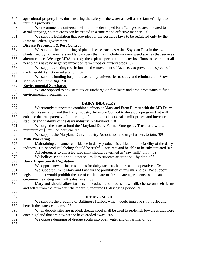| 547 | agricultural property line, thus ensuring the safety of the water as well as the farmer's right to   |
|-----|------------------------------------------------------------------------------------------------------|
| 548 | farm his property. '07                                                                               |
| 549 | We recommend a universal definition be developed for a "congested area" related to                   |
| 550 | aerial spraying, so that crops can be treated in a timely and effective manner. '08                  |
| 551 | We support legislation that provides for the pesticide laws to be regulated only by the              |
| 552 | State or Federal government. '08                                                                     |
| 553 | <b>Disease Prevention &amp; Pest Control</b>                                                         |
| 554 | We support the monitoring of plant diseases such as Asian Soybean Rust in the exotic                 |
| 555 | plants used by homeowners and landscapers that may include invasive weed species that serve as       |
| 556 | alternate hosts. We urge MDA to study these plant species and bolster its efforts to assure that all |
| 557 | new plants have no negative impact on farm crops or nursery stock.'07                                |
| 558 | We support existing restrictions on the movement of Ash trees to prevent the spread of               |
| 559 | the Emerald Ash Borer infestation. '07                                                               |
| 560 | We support funding for joint research by universities to study and eliminate the Brown               |
| 561 | Marmorated Stink Bug. '10                                                                            |
| 562 | <b>Environmental Surcharge</b>                                                                       |
| 563 | We are opposed to any state tax or surcharge on fertilizers and crop protectants to fund             |
| 564 | environmental programs.'06                                                                           |
| 565 |                                                                                                      |
| 566 | <b>DAIRY INDUSTRY</b>                                                                                |
| 567 | We strongly support the combined efforts of Maryland Farm Bureau with the MD Dairy                   |
| 568 | Industry Association and the Dairy Industry Advisory Council to develop a program that will          |
| 569 | enhance the transparency of the pricing of milk to producers, raise milk prices, and increase the    |
| 570 | stability and viability of the dairy industry in Maryland. '10                                       |
| 571 | We urge the state to fund the Maryland Dairy Farmer Emergency Trust fund with a                      |
| 572 | minimum of \$5 million per year. '09                                                                 |
| 573 | We support the Maryland Dairy Industry Association and urge farmers to join. '09                     |
| 574 | <b>Milk Marketing</b>                                                                                |
| 575 | Maintaining consumer confidence in dairy products is critical to the viability of the dairy          |
| 576 | industry. Dairy product labeling should be truthful, accurate and be able to be substantiated.'07    |
| 577 | All references to unpasteurized milk should be termed as "raw milk" only. '09                        |
| 578 | We believe schools should not sell milk to students after the sell-by date. '07                      |
| 579 | <b>Dairy Inspection &amp; Regulation</b>                                                             |
| 580 | We oppose new or increased fees for dairy farmers, haulers and cooperatives. '04                     |
| 581 | We support current Maryland Law for the prohibition of raw milk sales. We support                    |
| 582 | legislation that would prohibit the use of cattle-share or farm-share agreements as a means to       |
| 583 | circumvent existing raw milk sales laws. '09                                                         |
| 584 | Maryland should allow farmers to produce and process raw milk cheese on their farms                  |
| 585 | and sell it from the farm after the federally required 60 day aging period. '06                      |
| 586 |                                                                                                      |
| 587 | <b>DREDGE SPOIL</b>                                                                                  |
| 588 | We support the dredging of Baltimore Harbor, which would improve ship traffic and                    |
| 589 | benefit the state's economy.'07                                                                      |
| 590 | When deposit sites are needed, dredge spoil shall be used to replenish low areas that were           |
| 591 | once highland that are now wet or have eroded away. '05                                              |
| 592 | We oppose dumping of dredge spoils into open water and on farmland. '05                              |
| 593 |                                                                                                      |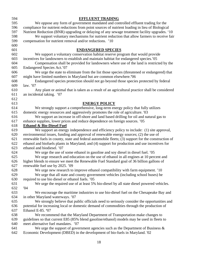| 594        | <b>EFFLUENT TRADING</b>                                                                                                                                             |
|------------|---------------------------------------------------------------------------------------------------------------------------------------------------------------------|
| 595        | We oppose any form of government mandated and controlled effluent trading for the                                                                                   |
| 596        | compliance for nutrient reductions from point sources of nutrient loading in lieu of Biological                                                                     |
| 597        | Nutrient Reduction (BNR) upgrading or delaying of any sewage treatment facility upgrades. '10                                                                       |
| 598        | We support voluntary mechanisms for nutrient reduction that allow farmers to receive fair                                                                           |
| 599        | compensation for nutrient removal and/or reductions. '10                                                                                                            |
| 600        |                                                                                                                                                                     |
| 601        | <b>ENDANGERED SPECIES</b>                                                                                                                                           |
| 602        | We support a voluntary conservation habitat reserve program that would provide                                                                                      |
| 603        | incentives for landowners to establish and maintain habitat for endangered species.'05                                                                              |
| 604        | Compensation shall be provided for landowners where use of the land is restricted by the                                                                            |
| 605        | Endangered Species Act.'07                                                                                                                                          |
| 606        | We urge the state to eliminate from the list those species (threatened or endangered) that                                                                          |
| 607        | might have limited numbers in Maryland but are common elsewhere.'06                                                                                                 |
| 608        | Endangered species protection should not go beyond those species protected by federal                                                                               |
| 609        | law. $'07$                                                                                                                                                          |
| 610        | Any plant or animal that is taken as a result of an agricultural practice shall be considered                                                                       |
| 611        | an incidental taking. '07                                                                                                                                           |
| 612        |                                                                                                                                                                     |
| 613        | <b>ENERGY POLICY</b>                                                                                                                                                |
| 614        | We strongly support a comprehensive, long-term energy policy that fully utilizes                                                                                    |
| 615        | domestic energy resources and aggressively promotes the role of agriculture. '03                                                                                    |
| 616        | We support an increase in off-shore and land based drilling for oil and natural gas to                                                                              |
| 617        | enhance supplies, lower prices and reduce dependence on foreign sources. '05                                                                                        |
| 618        | <b>Ethanol &amp; Bio-Diesel Fuel</b>                                                                                                                                |
| 619        | We support an energy independence and efficiency policy to include: (1) site approval,                                                                              |
| 620        | environmental issues, funding and approval of renewable energy sources; (2) the use of                                                                              |
| 621        | renewable fuels in county, state and federal automobile fleets; (3) support for the construction of                                                                 |
| 622        | ethanol and biofuels plants in Maryland; and (4) support for production and use incentives for                                                                      |
| 623        | ethanol and biodiesel. '07                                                                                                                                          |
| 624        | We urge the use of some ethanol in gasoline and soy diesel in diesel fuel. '05                                                                                      |
| 625        | We urge research and education on the use of ethanol in all engines at 10 percent and                                                                               |
| 626<br>627 | higher blends to ensure we meet the Renewable Fuel Standard goal of 36 billion gallons of                                                                           |
| 628        | renewable fuel use by 2025. '09                                                                                                                                     |
| 629        | We urge new research to improve ethanol compatibility with farm equipment. '10<br>We urge that all state and county government vehicles (including school buses) be |
| 630        | required to use bio diesel or ethanol fuels. '05                                                                                                                    |
| 631        | We urge the required use of at least 5% bio-diesel by all state diesel powered vehicles.                                                                            |
| 632        | 04                                                                                                                                                                  |
| 633        | We encourage the maritime industries to use bio-diesel fuel on the Chesapeake Bay and                                                                               |
| 634        | in other Maryland waterways. '07                                                                                                                                    |
| 635        | We strongly believe that public officials need to seriously consider the opportunities and                                                                          |
| 636        | potential for increasing local or domestic demand of commodities through the production of                                                                          |
| 637        | Ethanol E-85. '07                                                                                                                                                   |
| 638        | We recommend that the Maryland Department of Transportation make changes to                                                                                         |
| 639        | guidelines so that current E85 (85% blend gasoline/ethanol) models may be used in fleets to                                                                         |
| 640        | meet alternative fuel mandates. '07                                                                                                                                 |
| 641        | We urge the support of government agencies such as the Department of Business $\&$                                                                                  |
| 642        | Economic Development (DBED) in the development of bio-fuels in Maryland. '02                                                                                        |
|            |                                                                                                                                                                     |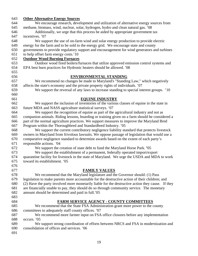| 643 | <b>Other Alternative Energy Sources</b>                                                           |
|-----|---------------------------------------------------------------------------------------------------|
| 644 | We encourage research, development and utilization of alternative energy sources from             |
| 645 | methane, biomass, wind, nuclear, solar, hydrogen, hydro and clean natural gas. '08                |
| 646 | Additionally, we urge that this process be aided by appropriate government tax                    |
| 647 | incentives. '07                                                                                   |
| 648 | We support the use of on-farm wind and solar energy production to provide electric                |
| 649 | energy for the farm and to be sold to the energy grid. We encourage state and county              |
| 650 | governments to provide regulatory support and encouragement for wind generators and turbines      |
| 651 | to help offset farm energy costs.'10                                                              |
| 652 | <b>Outdoor Wood Burning Furnaces</b>                                                              |
| 653 | Outdoor wood fired boilers/furnaces that utilize approved emission control systems and            |
| 654 | EPA best burn practices for Hydronic heaters should be allowed. '08                               |
| 655 |                                                                                                   |
| 656 | <b>ENVIRONMENTAL STANDING</b>                                                                     |
| 657 | We recommend no changes be made to Maryland's "Standing Law," which negatively                    |
| 658 | affects the state's economy and the private property rights of individuals. '07                   |
| 659 | We support the reversal of any laws to increase standing to special interest groups. '10          |
| 660 |                                                                                                   |
| 661 | <b>EQUINE INDUSTRY</b>                                                                            |
| 662 | We support the inclusion of inventories of the various classes of equine in the state in          |
| 663 | future MDA and NASS agriculture statistical surveys. '07                                          |
| 664 | We support the recognition of equine as part of the agricultural industry and not as              |
| 665 | companion animals. Riding lessons, boarding or training given on a farm should be considered a    |
| 666 | part of the normal agriculture practices. We support measures to improve the Maryland Bred        |
| 667 | Program within the Thoroughbred and Standardbred Industry. '05                                    |
| 668 | We support the current contributory negligence liability standard that protects livestock         |
| 669 | owners in Maryland from frivolous lawsuits. We oppose passage of legislation that would use a     |
| 670 | comparative negligence standard to determine awards based on the extent of each party's           |
| 671 | responsible actions. '04                                                                          |
| 672 | We support the creation of state debt to fund the Maryland Horse Park. '05                        |
| 673 | We support the establishment of a permanent, federally operated import/export                     |
| 674 | quarantine facility for livestock in the state of Maryland. We urge the USDA and MDA to work      |
| 675 | toward its establishment. '05                                                                     |
| 676 |                                                                                                   |
| 677 | <b>FAMILY VALUES</b>                                                                              |
| 678 | We recommend that the Maryland legislature and the Governor should: (1) Pass                      |
| 679 | legislation to make parents more accountable for the destructive action of their children; and    |
| 680 | (2) Have the party involved more monetarily liable for the destructive action they cause. If they |
| 681 | are financially unable to pay, they should do so through community service. The monetary          |
| 682 | amount should be determined and paid in full.'05                                                  |
| 683 |                                                                                                   |
| 684 | FARM SERVICE AGENCY - COUNTY COMMITTEES                                                           |
| 685 | We recommend that the State FSA Administration grant more power to the county                     |
| 686 | committees to adequately staff county offices. '07                                                |
| 687 | We recommend more farmer input on FSA office closures before any implementation                   |
| 688 | occurs. '05                                                                                       |
| 689 | We support strong coordination of efforts between NRCS and FSA in modernization and               |
| 690 | consolidation of offices and services. '06                                                        |
| 691 |                                                                                                   |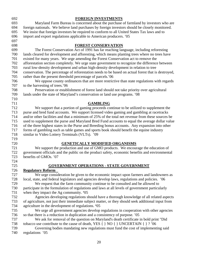| 692        | <b>FOREIGN INVESTMENTS</b>                                                                                              |
|------------|-------------------------------------------------------------------------------------------------------------------------|
| 693        | Maryland Farm Bureau is concerned about the purchase of farmland by investors who are                                   |
| 694        | foreign nationals. We believe land purchases by foreign investors should be closely monitored.                          |
| 695        | We insist that foreign investors be required to conform to all United States Tax laws and to                            |
| 696        | import and export regulations applicable to American producers. '05                                                     |
| 697        |                                                                                                                         |
| 698        | <b>FOREST CONSERVATION</b>                                                                                              |
| 699        | The Forest Conservation Act of 1991 has far reaching language, including reforesting                                    |
| 700        | lands cleared for development and afforesting, which means planting trees where no trees have                           |
| 701        | existed for many years. We urge amending the Forest Conservation act to remove the                                      |
| 702        | afforestation section completely. We urge state government to recognize the difference between                          |
| 703        | rural low-density development and urban high-density development in relation to tree                                    |
| 704        | conservation. The percentage of reforestation needs to be based on actual forest that is destroyed,                     |
| 705        | rather than the present threshold percentage of parcels.'06                                                             |
| 706        | We oppose county ordinances that are more restrictive than state regulations with regards                               |
| 707        | to the harvesting of trees.'06                                                                                          |
| 708        | Preservation or establishment of forest land should not take priority over agricultural                                 |
| 709        | lands under the state of Maryland's conservation or land use programs. '08                                              |
| 710        |                                                                                                                         |
| 711        | <b>GAMBLING</b>                                                                                                         |
| 712        | We support that a portion of gaming proceeds continue to be utilized to supplement the                                  |
| 713        | purse and bred fund accounts. We support licensed video gaming and gambling at racetracks                               |
| 714        | and/or other facilities and that a minimum of 25% of the total net revenue from these sources be                        |
| 715        | used to supplement the purse and Maryland Bred Fund accounts to equal the average dollar value                          |
| 716        | of the three highest states in the Purse and Breeding bonus accounts. Any expansion into other                          |
| 717        | forms of gambling such as table games and sports book should benefit the equine industry                                |
| 718        | similar to Video Lottery Terminals (VLTs). '09                                                                          |
| 719        |                                                                                                                         |
| 720        | <b>GENETICALLY MODIFIED ORGANISMS</b>                                                                                   |
| 721        | We support the production and use of GMO products. We encourage the education of                                        |
| 722<br>723 | government officials and the public on the product safety, economic benefits and environmental<br>benefits of GMOs. '07 |
| 724        |                                                                                                                         |
| 725        | <b>GOVERNMENT OPERATIONS - STATE GOVERNMENT</b>                                                                         |
| 726        | <b>Regulatory Reform</b>                                                                                                |
| 727        | We urge consideration be given to the economic impact upon farmers and landowners as                                    |
| 728        | local, state, and federal legislators and agencies develop laws, regulations and policies. '06                          |
| 729        | We request that the farm community continue to be consulted and be allowed to                                           |
| 730        | participate in the formulation of regulations and laws at all levels of government particularly                         |
| 731        | when they impact the Ag community. '05                                                                                  |
| 732        | Agencies developing regulations should have a thorough knowledge of all related aspects                                 |
| 733        | of agriculture, not just their immediate subject matter, or they should seek additional input from                      |
| 734        | agriculture in the development of regulations. '05                                                                      |
| 735        | We urge all government agencies develop regulations in cooperation with other agencies                                  |
| 736        | so that there is a reduction in duplication and a consistency of purpose. '05                                           |
| 737        | We ask for removal of the question on Maryland's death certificate in bold print "Did                                   |
| 738        | tobacco use contribute to the cause of death, YES $\{ \} NO \{ \} UNCERTAIN \{ \} ?'06$                                 |
| 739        | Governing bodies mandating new regulations must fund the cost of implementing said                                      |
| 740        | regulations '05                                                                                                         |
|            |                                                                                                                         |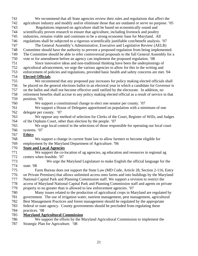741 We recommend that all State agencies review their rules and regulations that affect the 742 agriculture industry and modify and/or eliminate those that are outdated or serve no purpose. '05 743 Regulations imposed on agriculture shall be based on economically sound and 744 scientifically proven research to ensure that agriculture, including livestock and poultry 745 industries, remains viable and continues to be a strong economic base for Maryland. All 746 regulations shall be subjected to a rigorous scientifically justifiable cost/benefit analysis. '07 747 The General Assembly's Administrative, Executive and Legislative Review (AELR) 748 Committee should have the authority to prevent a proposed regulation from being implemented. 749 The Committee should be able to refer controversial proposals to the full General Assembly for a 750 vote or for amendment before an agency can implement the proposed regulation. '08 751 Since innovative ideas and non-traditional thinking have been the underpinnings of 752 agricultural advancement, we urge the various agencies to allow for this in the writing and 753 enforcement of policies and regulations, provided basic health and safety concerns are met. '04 754 **Elected Officials** 755 We recommend that any proposed pay increases for policy making elected officials shall 756 be placed on the general elections ballot in an electoral year in which a candidate for Governor is 757 on the ballot and shall not become effective until ratified by the electorate. In addition, no 758 retirement benefits shall accrue to any policy making elected official as a result of service in that 759 position**. '**05 760 We support a constitutional change to elect one senator per county. '07 761 We support a House of Delegates apportioned on population with a minimum of one 762 delegate per county. '07 763 We oppose any method of selection for Clerks of the Court, Register of Wills, and Judges 764 of the Orphans Court, other than election by the people. '07 765 We urge local control in the selections of those responsible for operating our local court 766 systems. '07 767 **Ethics** 768 We support a change in current State law to allow farmers to become eligible for 769 employment by the Maryland Department of Agriculture. **'**06 770 **State and Local Agencies** 771 We support the co-location of ag agencies, ag education and resources in regional ag 772 centers when feasible. '07 773 We urge the Maryland Legislature to make English the official language for the 774 state. '08 775 Farm Bureau does not support the State Law (MD Code, Article 28, Section 2-116, Entry 776 on Private Premises) that allows unlimited access onto farms and into buildings by the Maryland 777 National Capital Park and Planning Commission staff. We support a revision to restrict the 778 access of Maryland National Capital Park and Planning Commission staff and agents on private 779 property to no greater than is allowed to law enforcement agencies. '07 780 Many issues related to the production of agricultural crops in Maryland are regulated by 781 government. The use of irrigation water, nutrient management, pest management, agricultural 782 Best Management Practices and forest management should be regulated by the appropriate 783 federal or state agency. County governments should be precluded from regulating these 784 practices. '08 785 **Maryland Agricultural Commission** 786 We support the efforts by the Maryland Agricultural Commission to implement the 787 Strategic Plan for Agriculture. '08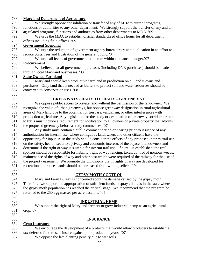#### 788 **Maryland Department of Agriculture**

789 We strongly oppose consolidation or transfer of any of MDA's current programs, 790 functions or authorities to any other department. We strongly support the transfer of any and all 791 ag-related programs, functions and authorities from other departments to MDA. '09 792 We urge the MDA to establish official standardized office hours for all department 793 offices including field offices. '09 794 **Government Spending** 795 We urge the reduction of government agency bureaucracy and duplication in an effort to 796 reduce costs, fees and frustration of the general public. '04 797 We urge all levels of government to operate within a balanced budget.'07 798 **Procurement** 799 We believe that all government purchases (including DNR purchases) should be made 800 through local Maryland businesses. '03 801 **State Owned Farmland**

802 Maryland should keep productive farmland in production on all land it owns and 803 purchases. Only land that is needed as buffers to protect soil and water resources should be 804 converted to conservation uses. '08

- 805
- 

### 806 **GREENWAYS - RAILS TO TRAILS – GREENPRINT**

807 We oppose public access to private land without the permission of the landowner. We 808 recognize the value of urban greenways, but oppose greenway designation in rural/agricultural 809 areas of Maryland due to the potential for trespass, vandalism, or other interferences with 810 production agriculture. Any legislation for the study or designation of greenway corridors or rails 811 to trails must include a requirement for notification to all owners of private property that adjoins 812 the proposed greenway before a study commences.'07

813 Any study must contain a public comment period or hearing prior to issuance of any 814 authorization for interim use, where contiguous landowners and other citizens have the 815 opportunity for input. Also the study should consider the effects of any proposed interim trail use 816 on the safety, health, security, privacy and economic interests of the adjacent landowners and 817 determine if the right of way is suitable for interim trail use. If a trail is established, the trail 818 sponsor should be responsible for liability, right of way fencing, taxes, control of noxious weeds, 819 maintenance of the rights of way and other cost which were required of the railway for the use of 820 the property easement. We promote the philosophy that if rights of way are developed for 821 recreational purposes lands should be purchased from willing sellers.'10

822

### 823 **GYPSY MOTH CONTROL**

824 Maryland Farm Bureau is concerned about the damage caused by the gypsy moth. 825 Therefore, we support the appropriation of sufficient funds to spray all areas in the state where 826 the gypsy moth population has reached the critical stage. We recommend that the program be 827 returned to the 250 egg masses per acre baseline. '05

828

### 829 **INDUSTRIAL HEMP**

- 830 We support the right of Maryland farmers to grow industrial hemp as an agricultural 831 crop.'07
- 832

#### 833 **INSURANCE**

#### 834 **Crop Insurance**

- 835 We encourage the development of a protocol that would allow producers to establish a 836 tax-deferred fund to self-insure against poor production years. '07
- 837 We oppose the late planting penalty due to wet soils. '03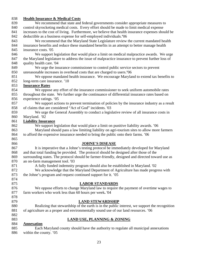# 838 **Health Insurance & Medical Costs**

| 839        | We recommend that state and federal governments consider appropriate measures to                                         |
|------------|--------------------------------------------------------------------------------------------------------------------------|
| 840        | control skyrocketing medical costs. Every effort should be made to limit medical expense                                 |
| 841        | increases to the cost of living. Furthermore, we believe that health insurance expenses should be                        |
| 842        | deductible as a business expense for self-employed individuals.'06                                                       |
| 843        | We recommend that the Maryland State Legislature review the current mandated health                                      |
| 844        | insurance benefits and reduce these mandated benefits in an attempt to better manage health                              |
| 845        | insurance costs. '05                                                                                                     |
| 846        | We support legislation that would place a limit on medical malpractice awards. We urge                                   |
| 847        | the Maryland legislature to address the issue of malpractice insurance to prevent further loss of                        |
| 848        | quality health care. '04                                                                                                 |
| 849        | We urge the insurance commissioner to control public service sectors to prevent                                          |
| 850        | unreasonable increases in overhead costs that are charged to users.'06                                                   |
| 851        | We oppose mandated health insurance. We encourage Maryland to extend tax benefits to                                     |
| 852        | long-term care insurance. '10                                                                                            |
| 853        | <b>Insurance Rates</b>                                                                                                   |
| 854        | We oppose any effort of the insurance commissioner to seek uniform automobile rates                                      |
| 855        | throughout the state. We further urge the continuance of differential insurance rates based on                           |
| 856        | experience ratings. '05                                                                                                  |
| 857        | We support actions to prevent termination of policies by the insurance industry as a result                              |
| 858        | of claims that are considered "Act of God" incidents. '03                                                                |
| 859        | We urge the General Assembly to conduct a legislative review of all insurance costs in                                   |
| 860        | Maryland. '02                                                                                                            |
| 861        | <b>Liability Insurance</b>                                                                                               |
| 862        | We support legislation that would place a limit on punitive liability awards. '06                                        |
| 863        | Maryland should pass a law limiting liability on agri-tourism sites to allow more farmers                                |
| 864        | to afford the expensive insurance needed to bring the public onto their farms. '06                                       |
| 865        |                                                                                                                          |
| 866        | <b>JOHNE'S DISEASE</b>                                                                                                   |
| 867        | It is imperative that a Johne's testing protocol be immediately developed for Maryland                                   |
| 868        | and that total funding be provided. The protocol should be designed after those of the                                   |
| 869        | surrounding states. The protocol should be farmer-friendly, designed and directed toward use as                          |
| 870        | an on-farm management tool. '03                                                                                          |
| 871        | A fully funded indemnity program should also be established in Maryland. '02                                             |
| 872        | We acknowledge that the Maryland Department of Agriculture has made progress with                                        |
| 873        | the Johne's program and request continued support for it. '05                                                            |
| 874        |                                                                                                                          |
| 875        | <b>LABOR STANDARDS</b>                                                                                                   |
| 876        | We oppose efforts to change Maryland law to require the payment of overtime wages to                                     |
| 877        | farm workers who work less than 60 hours per week. '04                                                                   |
| 878        |                                                                                                                          |
| 879<br>880 | <b>LAND STEWARDSHIP</b><br>Realizing that stewardship of the earth is in the public interest, we support the recognition |
| 881        |                                                                                                                          |
| 882        | of agriculture as a proper and environmentally sound use of our land resources. '06                                      |
| 883        | <b>LAND USE, PLANNING &amp; ZONING</b>                                                                                   |
| 884        | <b>Annexation</b>                                                                                                        |
| 885        | Each Maryland county should have the authority to regulate all municipal annexations                                     |
| 886        | within the county. '05                                                                                                   |
|            |                                                                                                                          |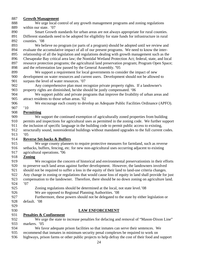#### 887 **Growth Management**

- 888 We urge local control of any growth management programs and zoning regulations 889 within our state.'07
- 890 Smart Growth standards for urban areas are not always appropriate for rural counties. 891 Different standards need to be adopted for eligibility for state funds for infrastructure in rural 892 counties. '08

893 We believe no program (or parts of a program) should be adopted until we review and 894 evaluate the accumulative impact of all of our present programs. We need to know the inter-895 relationship of all the legislation and regulations dealing with growth management such as the 896 Chesapeake Bay critical area law; the Nontidal Wetland Protection Act; federal, state, and local 897 resource protection programs; the agricultural land preservation program; Program Open Space; 898 and the reforestation law passed by the General Assembly*.* **'**05

- 899 We support a requirement for local governments to consider the impact of new 900 development on water resources and current users. Development should not be allowed to 901 surpass the level of water resources. '07
- 902 Any comprehensive plan must recognize private property rights. If a landowner's 903 property rights are diminished, he/she should be justly compensated. '06
- 904 We support public and private programs that improve the livability of urban areas and 905 attract residents to those urban areas. '02
- 906 We encourage each county to develop an Adequate Public Facilities Ordinance (APFO).
- 907 '10

#### 908 **Permitting**

- 909 We support the continued exemption of agriculturally zoned properties from building
- 910 permits and inspections for agricultural uses as permitted in the zoning code. We further support
- 911 the inclusion of specific language in the building code to permit public access to existing,
- 912 structurally sound, nonresidential buildings without mandated upgrades to the full current codes.
- 913 '05

#### 914 **Reverse Set-backs & Buffers**

- 915 We urge county planners to require protective measures for farmland, such as reverse 916 setbacks, buffers, fencing, etc. for new non-agricultural uses occurring adjacent to existing
- 917 agricultural operations. **'**06

#### 918 **Zoning**

919 We recognize the concern of historical and environmental preservationists in their efforts 920 to preserve such land areas against further development. However, the landowners involved 921 should not be required to suffer a loss in the equity of their land to land-use criteria changes. 922 Any change in zoning or regulations that would cause loss of equity in land shall provide for just 923 compensation to the landowner. Therefore, there should be no down zoning on agriculture land.

- 924 '07
- 925 Zoning regulations should be determined at the local, not state level.'08
- 926 We are opposed to Regional Planning Authorities. '08
- 927 Furthermore, these powers should not be delegated to the state by either legislation or 928 default.'08
- 929

### 930 **LAW ENFORCEMENT**

#### 931 **Penalties & Confinement**

932 We urge the state to increase penalties for defacing and removal of "Mason-Dixon Line" 933 markers. '05

- 934 We favor adequate prison facilities so that inmates can serve their sentences. We
- 935 recommend that inmates in minimum security penal complexes be required to work on
- 936 highways, prison farms or other public projects to help defray the cost of their food and support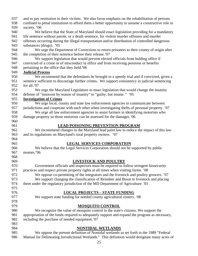| confined to penal institutions to afford them a better opportunity to assume a constructive role in<br>938<br>939<br>society. '06 | and to pay restitution to their victims. We also favor emphasis on the rehabilitation of persons |
|-----------------------------------------------------------------------------------------------------------------------------------|--------------------------------------------------------------------------------------------------|
|                                                                                                                                   |                                                                                                  |
|                                                                                                                                   |                                                                                                  |
| 940<br>We believe that the State of Maryland should enact legislation providing for a mandatory                                   |                                                                                                  |
| 941<br>life sentence without parole, or a death sentence, for violent murder offenses and murder                                  |                                                                                                  |
| 942<br>offenses occurring during the illegal transportation and/or distribution of controlled dangerous                           |                                                                                                  |
| 943<br>substances (drugs). '05                                                                                                    |                                                                                                  |
| 944<br>We urge the Department of Corrections to return prisoners to their county of origin after                                  |                                                                                                  |
| 945<br>the completion of their sentence before their release.'07                                                                  |                                                                                                  |
| 946<br>We support legislation that would prevent elected officials from holding office if                                         |                                                                                                  |
| 947<br>convicted of a crime or of misconduct in office and from receiving pensions or benefits                                    |                                                                                                  |
| 948<br>pertaining to the office that they held.'06                                                                                |                                                                                                  |
| 949<br><b>Judicial Process</b>                                                                                                    |                                                                                                  |
| 950<br>We recommend that the defendants be brought to a speedy trial and if convicted, given a                                    |                                                                                                  |
| 951<br>sentence sufficient to discourage further crimes. We support consistency in judicial sentencing                            |                                                                                                  |
| 952<br>for all.'07                                                                                                                |                                                                                                  |
| 953<br>We urge the Maryland Legislature to enact legislation that would change the insanity                                       |                                                                                                  |
| 954<br>defense of "innocent by reason of insanity" to "guilty, but insane." '05                                                   |                                                                                                  |
| 955<br><b>Investigation of Crimes</b>                                                                                             |                                                                                                  |
| 956<br>We urge local, county and state law enforcement agencies to communicate between                                            |                                                                                                  |
| jurisdictions and cooperate with each other when investigating thefts of personal property. '07<br>957                            |                                                                                                  |
| We urge all law enforcement agencies to assist farmers in identifying motorists who<br>958                                        |                                                                                                  |
| 959<br>damage property so those motorists can be assessed for the damages.'06                                                     |                                                                                                  |
| 960                                                                                                                               |                                                                                                  |
| 961<br><b>LEAD POISONING PREVENTION PROGRAM</b>                                                                                   |                                                                                                  |
| We recommend changes in the Maryland lead paint law to reduce the impact of this law<br>962                                       |                                                                                                  |
| 963<br>and its regulations on Maryland's rural property owners. '07                                                               |                                                                                                  |
| 964                                                                                                                               |                                                                                                  |
| <b>LEGAL SERVICES CORPORATION</b><br>965                                                                                          |                                                                                                  |
| We believe that the Legal Services Corporation should not be supported by public<br>966                                           |                                                                                                  |
|                                                                                                                                   |                                                                                                  |
| monies.'06                                                                                                                        |                                                                                                  |
| 967<br>968                                                                                                                        |                                                                                                  |
|                                                                                                                                   |                                                                                                  |
| <b>LIVESTOCK AND POULTRY</b><br>969<br>970                                                                                        |                                                                                                  |
| Government officials and inspectors must be required to follow stringent biosecurity<br>971                                       |                                                                                                  |
| practices and respect private property rights at all times when visiting farms. '08<br>972                                        |                                                                                                  |
| We oppose co-permitting of the integrators and the livestock and poultry growers. '07<br>973                                      |                                                                                                  |
| We support changing the classification of Reindeer and Bison to livestock and placing<br>974                                      |                                                                                                  |
| them under the regulatory jurisdiction of the MD Department of Agriculture. '03<br>975                                            |                                                                                                  |
|                                                                                                                                   |                                                                                                  |
| 976<br><b>LOCAL PROJECTS - STATE FUNDING</b>                                                                                      |                                                                                                  |
| 977<br>We support state funding for needed county agricultural centers. '08                                                       |                                                                                                  |
| 978                                                                                                                               |                                                                                                  |
| 979<br><b>MOSQUITO CONTROL</b>                                                                                                    |                                                                                                  |
| 980<br>We recognize the value of mosquito control to the state's citizens. We support the                                         |                                                                                                  |
| 981<br>appropriation of the funds required to adequately support and expand the program as necessary,                             |                                                                                                  |
| including the purchase of needed equipment. 07<br>982                                                                             |                                                                                                  |
| 983                                                                                                                               |                                                                                                  |
| 984<br><b>NONTIDAL WETLANDS</b><br>985<br>We oppose the present definition of Nontidal wetlands as set forth in the 1989 "Federal |                                                                                                  |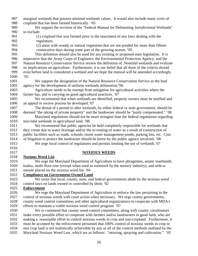- 987 marginal wetlands that possess minimal wetlands values. It would also include many acres of 988 cropland that has been farmed historically. '05
- 989 We support the revision of the "Federal Manual for Delineating Jurisdictional Wetlands" 990 to exclude:
- 991 (1) cropland that was farmed prior to the enactment of any laws dealing with the 992 regulation;
- 993 (2) areas with woody or natural vegetation that are not ponded for more than fifteen 994 consecutive days during some part of the growing season. **'**05
- 995 This definition should also be used for any existing or proposed state legislation. It is 996 imperative that the Army Corps of Engineers, the Environmental Protection Agency, and the 997 Natural Resource Conservation Service review the definition of Nontidal wetlands and evaluate 998 its implications on agriculture. Furthermore, it is our belief that all three of the criteria should 999 exist before land is considered a wetland and we hope the manual will be amended accordingly.
- 1000 '05
- 1001 We support the designation of the Natural Resource Conservation Service as the lead 1002 agency for the development of uniform wetlands delineation.**'**06
- 1003 Agriculture needs to be exempt from mitigation for agricultural activities where the 1004 farmer has, and is carrying on good agricultural practices. '07
- 1005 We recommend that when wetlands are identified, property owners must be notified and 1006 an appeal or review process be developed.'07
- 1007 The denial of a permit to alter wetlands, by either federal or state government, should be 1008 deemed "the taking of private property" and the landowner should be "justly compensated." '08
- 1009 Maryland regulations should not be more stringent than the federal regulations regarding 1010 non-tidal wetlands in agricultural land. '08
- 1011 We recommend that public agencies be held completely responsible for wetlands that 1012 they create due to water drainage and/or the re-routing of water as a result of construction of 1013 public facilities such as roads, schools, storm water management ponds, parking lots, etc. Cost 1014 of litigation to protect the landowner should be borne by the public agency involved. '08
- 1015 We urge local control of regulations and permits limiting the use of wetlands.'07
- 1016

# 1017 **NOXIOUS WEEDS**

- 1018 **Noxious Weed List**
- 1019 We urge the Maryland Department of Agriculture to have phragmites, asiatic tearthumb, 1020 kudzu, multi-flora rose (except when used as rootstock by the nursery industry), and mile-a-1021 minute placed on the noxious weed list. '04
- 1022 **Compliance on Government-Owned Land**
- 1023 We insist that local, county, state, and federal governments abide by the noxious weed 1024 control laws on lands owned or controlled by them. '02

### 1025 **Enforcement**

- 1026 We urge the Maryland Department of Agriculture to enforce the law pertaining to the 1027 control of noxious weeds with court action when necessary. We urge county governments, 1028 county weed control committees and other agricultural organizations to cooperate with MDA's 1029 efforts to maintain a viable noxious weed control program. '07
- 1030 We re commend that county weed control committees, along with county coordinators 1031 make every possible effort to cooperate with farmers and/or landowners in good faith, who are 1032 making a reasonable effort to control noxious weeds in crop and non-cropland. Furthermore, it 1033 must be accepted by the enforcement personnel that 100% control of noxious weeds in crop or 1034 non crop land is not realistically achievable by any or all of the control methods outlined by the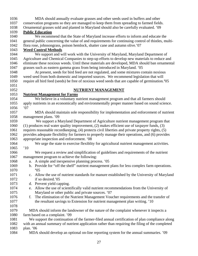| 1036 | MDA should annually evaluate grasses and other seeds used in buffers and other                             |
|------|------------------------------------------------------------------------------------------------------------|
| 1037 | conservation programs so they are managed to keep them from spreading to farmed fields.                    |
| 1038 | Ornamental grasses sold and planted in Maryland should also be carefully evaluated. '09                    |
| 1039 | <b>Public Education</b>                                                                                    |
| 1040 | We recommend that the State of Maryland increase efforts to inform and educate the                         |
| 1041 | general public concerning the value of and requirements for continuing control of thistles, multi-         |
| 1042 | flora rose, johnsongrass, poison hemlock, shatter cane and autumn olive.'07                                |
| 1043 | <b>Weed Control Methods</b>                                                                                |
| 1044 | We support and will work with the University of Maryland, Maryland Department of                           |
| 1045 | Agriculture and Chemical Companies to step-up efforts to develop new materials to reduce and               |
| 1046 | eliminate these noxious weeds. Until these materials are developed, MDA should ban ornamental              |
| 1047 | grasses such as eastern gamma grass from being introduced in Maryland. '05                                 |
| 1048 | At present, seeds for bird feed are not regulated, and some mixtures contain noxious                       |
| 1049 | weed seed from both domestic and imported sources. We recommend legislation that will                      |
| 1050 | require all bird feed (seeds) be free of noxious weed seeds that are capable of germination.'05            |
| 1051 |                                                                                                            |
| 1052 | <b>NUTRIENT MANAGEMENT</b>                                                                                 |
| 1053 | <b>Nutrient Management for Farms</b>                                                                       |
| 1054 | We believe in a voluntary nutrient management program and that all farmers should                          |
| 1055 | apply nutrients in an economically and environmentally proper manner based on sound science.               |
| 1056 | '07                                                                                                        |
| 1057 | MDA should maintain sole responsibility for implementation and enforcement of nutrient                     |
| 1058 | management plans. '09                                                                                      |
| 1059 | We support a Maryland Department of Agriculture nutrient management program that                           |
| 1060 | (1) produces real water quality improvement, (2) makes efficient use of taxpayer funds, (3)                |
| 1061 | requires reasonable recordkeeping, (4) protects civil liberties and private property rights, (5)           |
| 1062 | provides adequate flexibility for farmers to properly manage their operations, and (6) provides            |
| 1063 | appropriate inspection and enforcement. '08                                                                |
| 1064 | We urge the state to exercise flexibility for agricultural nutrient management activities.                 |
| 1065 | 10                                                                                                         |
| 1066 | We request a review and simplification of guidelines and requirements of the nutrient                      |
| 1067 | management program to achieve the following:                                                               |
| 1068 | a. A simple and inexpensive planning process. '05                                                          |
| 1069 | Provide for "off the shelf" nutrient management plans for less complex farm operations.<br>$\mathbf{b}$ .  |
| 1070 | "05"                                                                                                       |
| 1071 | Allow the use of nutrient standards for manure established by the University of Maryland<br>$\mathbf{c}$ . |
| 1072 | if so desired.'05                                                                                          |
| 1073 | d. Prevent yield capping.                                                                                  |
| 1074 | Allow the use of scientifically valid nutrient recommendations from the University of<br>e.                |
| 1075 | Maryland or other public and private sources. '07                                                          |
| 1076 | The elimination of the Nutrient Management Voucher requirements and the transfer of<br>f.                  |
| 1077 | the resultant savings to Extension for nutrient management plan writing. '10                               |
| 1078 |                                                                                                            |
| 1079 | MDA should inform the landowner of the nature of the complaint whenever it inspects a                      |
| 1080 | farm based on a complaint. '09                                                                             |
| 1081 | We support the continuation of the farmer-filed annual certification of plan compliance along              |
| 1082 | with an annual summary of nutrient application rather than requiring the filing of the completed           |
| 1083 | plan. $'06$                                                                                                |
| 1084 | MDA should develop an optional on-line reporting system for the annual summaries. '09                      |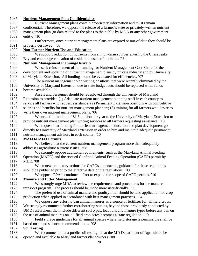#### 1085 **Nutrient Management Plan Confidentiality**

- 1086 Nutrient Management plans contain proprietary information and must remain 1087 confidential. Therefore, we oppose the release of a farmer's state or privately-written nutrient 1088 management plan (or data related to the plan) to the public by MDA or any other government 1089 entity. '10
- 1090 Furthermore, once nutrient management plans are expired or out-of-date they should be 1091 properly destroyed. '08

#### 1092 **Non-Farmer Nutrient Use and Education**

1093 We support reduction of nutrients from all non-farm sources entering the Chesapeake 1094 Bay and encourage education of residential users of nutrients. '03

#### 1095 **Nutrient Management Planning/Delivery**

- 1096 We seek reinstatement of full funding for Nutrient Management Cost-Share for the 1097 development and updating of nutrient management plans by private industry and by University 1098 of Maryland Extension. All funding should be evaluated for efficiencies. '07
- 1099 The nutrient management plan writing positions that were recently eliminated by the 1100 University of Maryland Extension due to state budget cuts should be replaced when funds 1101 become available. '09
- 1102 Assets and personnel should be redeployed through the University of Maryland 1103 Extension to provide: (1) Adequate nutrient management planning staff in each county to 1104 service all farmers who request assistance; (2) Permanent Extension positions with competitive 1105 salaries and benefits for nutrient management planners; (3) training for all farmers who desire to 1106 write their own nutrient management plans. **'**06
- 1107 We urge full funding of \$1.8 million per year to the University of Maryland Extension to 1108 provide nutrient management plan writing services to all farmers requesting assistance. '10
- 1109 We request that funding for nutrient management education and plan development go
- 1110 directly to University of Maryland Extension in order to hire and maintain adequate permanent 1111 nutrient management advisors in each county. '10

#### 1112 **MAFO/CAFO Permits**

- 1113 We believe that the current nutrient management program more than adequately 1114 addresses agriculture nutrient issues. '08
- 1115 We strongly oppose additional requirements, such as the Maryland Animal Feeding 1116 Operation (MAFO) and the revised Confined Animal Feeding Operation (CAFO) permit by 1117 MDE. '08
- 1118 When new regulatory actions for CAFOs are enacted, guidance for these regulations 1119 should be published prior to the effective date of the regulations. '09
- 1120 We oppose EPA's continued effort to expand the scope of CAFO permits. '10

### 1121 **Manure and Litter Management**

- 1122 We strongly urge MDA to review the requirements and procedures for the manure 1123 transport program. The process should be made more user-friendly. '03
- 1124 The preferred use of animal manure and poultry litter should be land application for crop 1125 production when applied in accordance with best management practices. '04
- 1126 We oppose any effort to ban animal manures as a source of fertilizer for all field crops.
- 1127 We strongly recommend further corroborating studies, beyond those previously conducted by
- 1128 UMD researchers, that include different soil types, locations and manure types before any ban on
- 1129 the use of animal manures on all field crop acres becomes a state regulation. '10
- 1130 Field storage guidelines for all animal species where field storage is permissible shall be 1131 based on sound science recommendations. '08

# 1132 **Soil Testing**

1133 We recommend that a public soil testing lab at the MD Department of Agriculture be 1134 opened and available to Maryland farmers/landowners. '08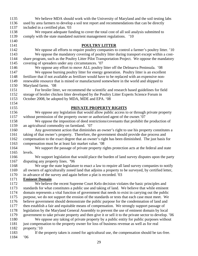| 1135         | We believe MDA should work with the University of Maryland and the soil testing labs                  |
|--------------|-------------------------------------------------------------------------------------------------------|
| 1136         | used by area farmers to develop a soil test report and recommendations that can be directly           |
| 1137         | included in a certified plan. '03                                                                     |
| 1138         | We request adequate funding to cover the total cost of all soil analysis submitted to                 |
| 1139         | comply with the state mandated nutrient management regulations. '10                                   |
| 1140         |                                                                                                       |
| 1141         | <b>POULTRY LITTER</b>                                                                                 |
| 1142         | We oppose all efforts to require poultry companies to control a farmer's poultry litter. '10          |
| 1143         | We oppose the mandatory covering of poultry litter during transport except within a cost-             |
| 1144         | share program, such as the Poultry Litter Pilot Transportation Project. We oppose the mandatory       |
| 1145         | covering of spreaders under any circumstances. '07                                                    |
| 1146         | We oppose any effort to move ALL poultry litter off the Delmarva Peninsula. '08                       |
| 1147         | We oppose burning poultry litter for energy generation. Poultry litter is an excellent                |
| 1148         | fertilizer that if not available as fertilizer would have to be replaced with an expensive non-       |
| 1149         | renewable resource that is mined or manufactured somewhere in the world and shipped to                |
| 1150         | Maryland farms. '08                                                                                   |
| 1151         | For broiler litter, we recommend the scientific and research based guidelines for field               |
| 1152         | storage of broiler chicken litter developed by the Poultry Litter Experts Science Forum in            |
| 1153         | October 2008, be adopted by MDA, MDE and EPA. '08                                                     |
| 1154         |                                                                                                       |
| 1155         | <b>PRIVATE PROPERTY RIGHTS</b>                                                                        |
| 1156         | We oppose any legislation that would allow public access to or through private property               |
| 1157         | without permission of the property owner or authorized agent of the owner.'07                         |
| 1158         | We oppose the imposition of deed restrictions/covenants that prohibit the production of               |
| 1159         | an agricultural commodity on farmland. '07                                                            |
| 1160         |                                                                                                       |
| 1161         | Any government action that diminishes an owner's right to use his property constitutes a              |
|              | taking of that owner's property. Therefore, the government should provide due process and             |
| 1162         | compensation to the exact degree that an owner's right has been diminished. The just basis for        |
| 1163         | compensation must be at least fair market value. '08                                                  |
| 1164         | We support the passage of private property rights protection acts at the federal and state            |
| 1165<br>1166 | levels.                                                                                               |
|              | We support legislation that would place the burden of land survey disputes upon the party             |
| 1167         | disputing any property lines. '06                                                                     |
| 1168         | We urge the state legislature to enact a law to require all land survey companies to notify           |
| 1169         | all owners of agriculturally zoned land that adjoins a property to be surveyed, by certified letter,  |
| 1170         | in advance of the survey and again before a plat is recorded. '03                                     |
| 1171         | <b>Eminent Domain</b>                                                                                 |
| 1172         | We believe the recent Supreme Court Kelo decision violates the basic principles and                   |
| 1173         | standards for what constitutes a public use and taking of land. We believe that while eminent         |
| 1174         | domain represents a vital function of government that needs to exist in carrying out the public       |
| 1175         | purpose, we do not support the erosion of the standards or tests that each case must meet. We         |
| 1176         | believe government should demonstrate the public purpose for the condemnation of land and             |
| 1177         | then establish a fair and equitable means of compensation. We strongly support passage of             |
| 1178         | legislation by the Maryland General Assembly to prevent the use of eminent domain by local            |
| 1179         | government to take private property and then give it or sell it to the private sector to develop. '06 |
| 1180         | We oppose any taking of private property by a public entity for public purposes without               |
| 1181         | just compensation to the property owner for loss of business revenue as well as for real              |
| 1182         | property.'10                                                                                          |
| 1183         | If the property taken is zoned for agricultural use, the compensation should be tax-free.             |
| 1184         | .06                                                                                                   |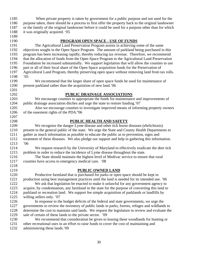| 1185 | When private property is taken by government for a public purpose and not used for the              |
|------|-----------------------------------------------------------------------------------------------------|
| 1186 | purpose taken, there should be a process to first offer the property back to the original landowner |
| 1187 | or the family of the original landowner before it could be used for a purpose other than for which  |
| 1188 | it was originally acquired. '05                                                                     |
| 1189 |                                                                                                     |
| 1190 | <b>PROGRAM OPEN SPACE - USE OF FUNDS</b>                                                            |
| 1191 | The Agricultural Land Preservation Program assists in achieving some of the same                    |
| 1192 | objectives sought in the Open Space Program. The amount of parkland being purchased in this         |
| 1193 | program has been increasing rapidly, thereby reducing tax revenue. Therefore, we recommend          |
| 1194 | that the allocation of funds from the Open Space Program to the Agricultural Land Preservation      |
| 1195 | Foundation be increased substantially. We support legislation that will allow the counties to use   |
| 1196 | part or all of their local share of the Open Space acquisition funds for the Preservation of        |
| 1197 | Agricultural Land Program, thereby preserving open space without removing land from tax rolls.      |
| 1198 | .05                                                                                                 |
| 1199 | We recommend that the larger share of open space funds be used for maintenance of                   |
| 1200 | present parkland rather than the acquisition of new land.'06                                        |
| 1201 |                                                                                                     |
| 1202 | PUBLIC DRAINAGE ASSOCIATIONS                                                                        |
| 1203 | We encourage counties to appropriate the funds for maintenance and improvements of                  |
| 1204 | public drainage association ditches and urge the state to restore funding. 07                       |
| 1205 | Also we encourage counties to investigate improved means of informing property owners               |
| 1206 | of the easement rights of the PDA.'06                                                               |
| 1207 |                                                                                                     |
| 1208 | PUBLIC HEALTH AND SAFETY                                                                            |
| 1209 | We recognize the danger Lyme disease and other tick borne diseases (ehrlichiosis)                   |
| 1210 | present to the general public of the state. We urge the State and County Health Departments to      |
| 1211 | gather as much information as possible to educate the public as to prevention, signs and            |
| 1212 | treatment of these diseases. We also pledge our support and help in gathering this information.     |
| 1213 | 06'                                                                                                 |
| 1214 | We request research by the University of Maryland to effectively eradicate the deer tick            |
| 1215 | problem in order to reduce the incidence of Lyme disease throughout the state.                      |
| 1216 | The State should maintain the highest level of Medivac service to ensure that rural                 |
| 1217 | counties have access to emergency medical care. '08                                                 |
| 1218 |                                                                                                     |
| 1219 | <b>PUBLIC OWNED LAND</b>                                                                            |
| 1220 | Productive farmland that is purchased for parks or open space should be kept in                     |
| 1221 | production using best management practices until the land is needed for its intended use. '06       |
| 1222 | We ask that legislation be enacted to make it unlawful for any government agency to                 |
| 1223 | acquire, by condemnation, any farmland in the state for the purpose of converting this land to      |
| 1224 | parkland or recreation land. We support fee simple acquisition of parklands or landfills by         |
| 1225 | willing sellers only. '07                                                                           |
| 1226 | In response to the budget deficits of the federal and state governments, we urge the                |
| 1227 | governments to review the inventory of public lands in parks, forests, refuges and wildlands to     |
| 1228 | determine the cost to maintain said lands. We request the legislature to review and evaluate the    |
| 1229 | sale of certain of these lands to the private sector. '09                                           |
| 1230 | We recommend that consideration be given to leasing these woodlands for hunting or                  |
| 1231 | other recreational uses in an effort to raise funds to cover the cost of maintaining and            |
| 1232 | administering these lands.'09                                                                       |
|      |                                                                                                     |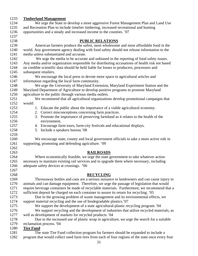| 1233 | <b>Timberland Management</b>                                                                      |
|------|---------------------------------------------------------------------------------------------------|
| 1234 | We urge the State to develop a more aggressive Forest Management Plan and Land Use                |
| 1235 | and Recreation Plan to include timelier timbering, increased recreational and hunting             |
| 1236 | opportunities and a steady and increased income to the counties. '07                              |
| 1237 |                                                                                                   |
| 1238 | <b>PUBLIC RELATIONS</b>                                                                           |
| 1239 | American farmers produce the safest, most wholesome and most affordable food in the               |
| 1240 | world. Any government agency dealing with food safety should not release information to the       |
| 1241 | media unless substantiated and accurate.                                                          |
| 1242 | We urge the media to be accurate and unbiased in the reporting of food safety issues.             |
| 1243 | Any media and/or organization responsible for distributing accusations of health risk not based   |
| 1244 | on credible scientific data should be held liable for losses to producers, processors and         |
| 1245 | subsequent retailers.                                                                             |
| 1246 | We encourage the local press to devote more space to agricultural articles and                    |
| 1247 | information regarding the local farm community.                                                   |
| 1248 | We urge the University of Maryland Extension, Maryland Experiment Station and the                 |
| 1249 | Maryland Department of Agriculture to develop positive programs to promote Maryland               |
| 1250 | agriculture to the public through various media outlets.                                          |
| 1251 | We recommend that all agricultural organizations develop promotional campaigns that               |
| 1252 | would:                                                                                            |
| 1253 | 1. Educate the public about the importance of a viable agricultural economy.                      |
| 1254 | 2. Correct misconceptions concerning farm practices.                                              |
| 1255 | 3. Promote the importance of preserving farmland as it relates to the health of the               |
| 1256 | environment.                                                                                      |
| 1257 | 4. Encourage farm tours, farm-city festivals and educational displays.                            |
| 1258 | 5. Include a speakers bureau.'08                                                                  |
| 1259 |                                                                                                   |
| 1260 | We encourage state, county and local government officials to take a more active role in           |
| 1261 | supporting, promoting and defending agriculture. '09                                              |
| 1262 |                                                                                                   |
| 1263 | <b>RAILROADS</b>                                                                                  |
| 1264 | Where economically feasible, we urge the state government to take whatever action                 |
| 1265 | necessary to maintain existing rail services and to upgrade them where necessary, including       |
| 1266 | adequate safety devices at crossings. '06                                                         |
| 1267 |                                                                                                   |
| 1268 | <b>RECYCLING</b>                                                                                  |
| 1269 | Throwaway bottles and cans are a serious nuisance to landowners and can cause injury to           |
| 1270 | animals and can damage equipment. Therefore, we urge the passage of legislation that would        |
| 1271 | require beverage containers be made of recyclable materials. Furthermore, we recommend that a     |
| 1272 | sufficient deposit be charged on each container to assure its return for recycling. '05           |
| 1273 | Due to the growing problem of waste management and its environmental effects, we                  |
| 1274 | support material recycling and the use of biodegradable plastics.'07                              |
| 1275 | We support the development of a state agricultural-plastic recycling program. '04                 |
| 1276 | We support recycling and the development of industries that utilize recycled materials, as        |
| 1277 | well as development of markets for recycled products. '04                                         |
| 1278 | Due to the increased use of plastic wrap in agriculture, we urge the search for a suitable        |
| 1279 | reclamation process. '04                                                                          |
| 1280 | <b>Tire Fund</b>                                                                                  |
| 1281 | The state Tire Fund collection program for farmers should be expanded to include a                |
| 1282 | program that would collect used farm tires from each of four regions of the state once every four |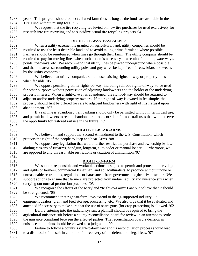- 1283 years. This program should collect all used farm tires as long as the funds are available in the 1284 Tire Fund without raising fees. '07 1285 We request that the tire recycling fee levied on new tire purchases be used exclusively for 1286 research into tire recycling and to subsidize actual tire recycling projects.'04 1287 1288 **RIGHT-OF-WAY EASEMENTS** 1289 When a utility easement is granted on agricultural land, utility companies should be 1290 required to use the least desirable land and to avoid taking prime farmland where possible. 1291 Farmers should be reimbursed when lines go through their farm. The utility company should be 1292 required to pay for moving lines when such action is necessary as a result of building waterways, 1293 ponds, roadways, etc. We recommend that utility lines be placed underground where possible 1294 and that the areas surrounding utility poles and guy wires be kept free of trees, briars and weeds 1295 by the utility company.**'**06 1296 We believe that utility companies should use existing rights of way or property lines 1297 when feasible.'05 1298 We oppose permitting utility rights-of-way, including railroad rights-of-way, to be used 1299 for other purposes without permission of adjoining landowners and the holder of the underlying 1300 property interest. When a right-of-way is abandoned, the right-of-way should be returned to 1301 adjacent and/or underlying property owners. If the right-of-way is owned in fee simple, the 1302 property should first be offered for sale to adjacent landowners with right of first refusal upon 1303 abandonment. '07 1304 If a rail line is abandoned, rail banking should only be permitted without interim trail use, 1305 and permit landowners to retain abandoned railroad corridors for non-trail uses that will preserve 1306 the opportunity for restored rail use in the future.'09 1307 1308 **RIGHT-TO-BEAR-ARMS** 1309 We believe in and support the Second Amendment to the U.S. Constitution, which 1310 protects the right of the people to keep and bear Arms*.* '08 1311 We oppose any legislation that would further restrict the purchase and ownership by law-1312 abiding citizens of firearms, handgun, longarm, autoloader or manual loader. Furthermore, we 1313 are opposed to any unreasonable restrictions or taxation of ammunition.'07 1314 1315 **RIGHT-TO-FARM** 1316 We support responsible and workable actions designed to permit and protect the privilege 1317 and rights of farmers, commercial fisherman, and aquaculturalists, to produce without undue or 1318 unreasonable restrictions, regulations or harassment from government or the private sector. We 1319 support actions to ensure that farmers are protected from undue liability and nuisance suits when 1320 carrying out normal production practices. **'**05 1321 We recognize the efforts of the Maryland "Right-to-Farm" Law but believe that it should 1322 be strengthened. '05 1323 We recommend that right-to-farm laws extend to the ag-supported industry, i.e. 1324 equipment dealers, grain and feed storage, processing, etc. We also urge that it be evaluated and 1325 amended if necessary to make sure that the use of scare guns (for crop protection) is allowed. '02 1326 Before entering into the judicial system, a plaintiff should be required to bring the 1327 agricultural nuisance suit before a county reconciliation board for review in an attempt to settle 1328 the nuisance complaint between the effected parties. The reconciliation board's decision in 1329 nuisance complaints should be viewed as a judgment. '09 1330 Failure to follow a county's right-to-farm law and its reconciliation process should lead 1331 to a dismissal of the suit in court and full recovery of the defendant's legal fees. '07
	- 1332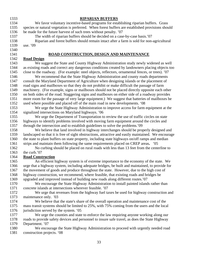1340

#### 1333 **RIPARIAN BUFFERS**

1334 We favor voluntary incentive-based programs for establishing riparian buffers. Grass 1335 species or natural vegetation is preferred. When forest buffers are established provisions should 1336 be made for the future harvest of such trees without penalty. '07

1337 The width of riparian buffers should be decided on a case-by-case basis.'07 1338 Riparian and forest buffers should remain intact after a farm is sold for non-agricultural 1339 use. '09

#### 1341 **ROAD CONSTRUCTION, DESIGN AND MAINTENANCE**

#### 1342 **Road Design**

1343 We suggest the State and County Highway Administration study newly widened as well 1344 as existing roads and correct any dangerous conditions created by landowners placing objects too 1345 close to the roadway. (For example: steel objects, reflectors, ornamental fences, or trees). '07

1346 We recommend that the State Highway Administration and county roads departments 1347 consult the Maryland Department of Agriculture when designing islands or the placement of 1348 road signs and mailboxes so that they do not prohibit or make difficult the passage of farm 1349 machinery. (For example, signs or mailboxes should not be placed directly opposite each other 1350 on both sides of the road. Staggering signs and mailboxes on either side of a roadway provides 1351 more room for the passage of very large equipment.) We suggest that batteries of mailboxes be 1352 used where possible and placed off of the main road in new developments. '08

1353 We urge the State Highway Administration to improve access for farm equipment at the 1354 signalized intersections on Maryland highways. '06

1355 We urge the Department of Transportation to review the use of traffic circles on state 1356 highways to identify problems involved with moving farm equipment around the circles and 1357 through the intersection and to establish guidelines to solve the problems.'09

1358 We believe that land involved in highway interchanges should be properly designed and 1359 landscaped so that it is free of sight obstructions, attractive and easily maintained. We encourage 1360 the state to plant buffers on state property, including state highways on/off ramps and median 1361 strips and maintain them following the same requirements placed on CREP areas**.** '05

1362 No curbing should be placed on rural roads with less than 13 feet from the centerline to 1363 the curb.'07

### 1364 **Road Construction**

1365 An efficient highway system is of extreme importance to the economy of the state. We 1366 urge that a highway system, including adequate bridges, be built and maintained, to provide for 1367 the movement of goods and produce throughout the state. However, due to the high cost of 1368 highway construction, we recommend, where feasible, that existing roads and bridges be 1369 upgraded and improved instead of building new roads along different routes.'07

1370 We encourage the State Highway Administration to install painted islands rather than 1371 concrete islands at intersections wherever feasible. '07

1372 We urge that revenues from the highway fuel taxes be used for highway construction and 1373 maintenance only. '03

1374 We believe that the state's share of the overall operation and maintenance cost of the 1375 mass transit systems should be limited to 25%, with 75% coming from the users and the local 1376 jurisdiction served by the system. '05

1377 We urge the counties and state to enforce the law requiring anyone working along our 1378 roads to provide safety devices and personnel to insure safe travel, as does the State Highway 1379 Department. '07

1380 We encourage the State Highway Administration to proceed with urgently needed road 1381 construction projects. '08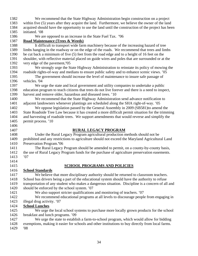1382 We recommend that the State Highway Administration begin construction on a project 1383 within five (5) years after they acquire the land. Furthermore, we believe the owner of the land 1384 acquired should have the opportunity to use the land until the construction of the project has been 1385 initiated. '08 1386 We are opposed to an increase in the State Fuel Tax.**'**06 1387 **Road Maintenance (Trees & Weeds)** 1388 It difficult to transport wide farm machinery because of the increasing hazard of tree 1389 limbs hanging in the roadway or on the edge of the roads. We recommend that trees and limbs 1390 be cut back a minimum of five (5) feet from the road edge and to a height of 16 feet on the 1391 shoulder, with reflective material placed on guide wires and poles that are surrounded or at the 1392 very edge of the pavement**.'**05 1393 We strongly urge the State Highway Administration to reinstate its policy of mowing the 1394 roadside rights-of-way and medians to ensure public safety and to enhance scenic views. '05 1395 The government should increase the level of maintenance to insure safe passage of 1396 vehicles. '04 1397 We urge the state and local government and utility companies to undertake a public 1398 education program to teach citizens that trees do not live forever and there is a need to inspect, 1399 harvest and remove older, hazardous and diseased trees. '10 1400 We recommend that the State Highway Administration send advance notification to 1401 adjacent landowners whenever plantings are scheduled along the SHA right-of-way. '05 1402 We oppose legislation passed by the General Assembly in 2009 (SB581)to amend the 1403 State Roadside Tree Law because it has created a more difficult permit situation for the trimming 1404 and harvesting of roadside trees. We support amendments that would reverse and simplify the 1405 permit process. '10 1406 1407 **RURAL LEGACY PROGRAM** 1408 Under the Rural Legacy Program agricultural production methods should not be 1409 prohibited and any restrictions to agriculture should not exceed the Maryland Agricultural Land 1410 Preservation Program.**'**06 1411 The Rural Legacy Program should be amended to permit, on a county-by-county basis, 1412 the use of Rural Legacy Program funds for the purchase of agriculture preservation easements. 1413 '07 1414 1415 **SCHOOL PROGRAMS AND POLICIES** 1416 **School Standards** 1417 We believe that more disciplinary authority should be returned to classroom teachers. 1418 School bus drivers being a part of the educational system should have the authority to refuse 1419 transportation of any student who makes a dangerous situation. Discipline is a concern of all and 1420 should be enforced by the school system. '07 1421 We also support stricter qualifications and monitoring of teachers. '07 1422 We recommend educational programs at all levels to discourage people from engaging in 1423 illegal drug activity. '07 1424 **School Lunches**  1425 We urge the local school systems to purchase more locally grown products for the school 1426 breakfast and lunch programs. '09 1427 We urge the state to establish a farm-to-school program, which would allow for bidding 1428 exemptions, making it easier for schools and other institutions to buy directly from local farms. 1429 '08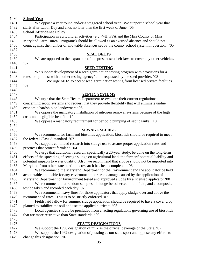| <b>School Year</b>                                                                                   |
|------------------------------------------------------------------------------------------------------|
| We oppose a year round and/or a staggered school year. We support a school year that                 |
| starts after Labor Day and ends no later than the first week of June. '05                            |
| <b>School Attendance Policy</b>                                                                      |
| Participation in agricultural activities (e.g. 4-H, FFA and the Miss County or Miss                  |
| Maryland Farm Bureau Programs) should be allowed as an excused absence and should not                |
| count against the number of allowable absences set by the county school system in question. '05      |
|                                                                                                      |
| <b>SEAT BELTS</b>                                                                                    |
| We are opposed to the expansion of the present seat belt laws to cover any other vehicles.           |
| '07                                                                                                  |
| <b>SEED TESTING</b>                                                                                  |
| We support development of a seed germination testing program with provisions for a                   |
| retest or split test with another testing agency/lab if requested by the seed provider. '08          |
| We urge MDA to accept seed germination testing from licensed private facilities.                     |
| 09'                                                                                                  |
|                                                                                                      |
| <b>SEPTIC SYSTEMS</b>                                                                                |
| We urge that the State Health Department re-evaluate their current regulations                       |
| concerning septic systems and request that they provide flexibility that will eliminate undue        |
| economic hardship on landowners.'06                                                                  |
| We oppose the mandatory installation of nitrogen removal systems because of the high                 |
| costs and negligible benefits.'10                                                                    |
| We oppose a mandatory requirement for periodic pumping of septic tanks. '10                          |
|                                                                                                      |
| <b>SEWAGE SLUDGE</b>                                                                                 |
| We recommend for farmland biosolids application, biosolids should be required to meet                |
| the federal Class A standard. '07                                                                    |
| We support continued research into sludge use to assure proper application rates and                 |
| practices that protect farmland. '04                                                                 |
| We urge that additional research, specifically a 20-year study, be done on the long-term             |
| effects of the spreading of sewage sludge on agricultural land, the farmers' potential liability and |
| potential impacts to water quality. Also, we recommend that sludge should not be imported into       |
| Maryland from other states until this research has been completed. '08                               |
| We recommend the Maryland Department of the Environment and the applicator be held                   |
| accountable and liable for any environmental or crop damage caused by the application of             |
| Maryland Department of Environment tested and approved sludge by a licensed applicator. '08          |
| We recommend that random samples of sludge be collected in the field, and a composite                |
| test be taken and recorded each day.'07                                                              |
| We recommend heavy fines for those applicators that apply sludge over and above the                  |
| recommended rates. This is to be strictly enforced.'07                                               |
| Fields laid fallow for summer sludge application should be required to have a cover crop             |
| planted to stabilize the soil and use the applied nutrients. '05                                     |
| Local agencies should be precluded from enacting regulations governing use of biosolids              |
| that are more restrictive than State standards. '09                                                  |
|                                                                                                      |
| <b>STATE DESIGNATIONS</b>                                                                            |
| We support the 1998 designation of milk as the official beverage of the State. '07                   |
| We support the 1962 designation of jousting as our state sport and oppose any efforts to             |
| change this designation. '07                                                                         |
|                                                                                                      |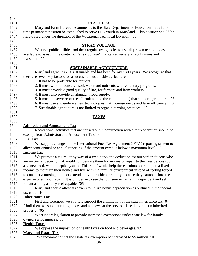| 1480 |                                                                                                 |
|------|-------------------------------------------------------------------------------------------------|
| 1481 | <b>STATE FFA</b>                                                                                |
| 1482 | Maryland Farm Bureau recommends to the State Department of Education that a full-               |
| 1483 | time permanent position be established to serve FFA youth in Maryland. This position should be  |
| 1484 | field-based under the direction of the Vocational Technical Division. '05                       |
| 1485 |                                                                                                 |
| 1486 | <b>STRAY VOLTAGE</b>                                                                            |
| 1487 | We urge public utilities and their regulatory agencies to use all proven technologies           |
| 1488 | available to assist in the control of "stray voltage" that can adversely affect humans and      |
| 1489 | livestock. '07                                                                                  |
| 1490 |                                                                                                 |
| 1491 | <b>SUSTAINABLE AGRICULTURE</b>                                                                  |
| 1492 | Maryland agriculture is sustainable and has been for over 300 years. We recognize that          |
| 1493 | there are seven key factors for a successful sustainable agriculture:                           |
| 1494 | 1. It has to be profitable for farmers.                                                         |
| 1495 | 2. It must work to conserve soil, water and nutrients with voluntary programs.                  |
| 1496 | 3. It must provide a good quality of life, for farmers and farm workers.                        |
| 1497 | 4. It must also provide an abundant food supply.                                                |
| 1498 | 5. It must preserve resources (farmland and the communities) that support agriculture. '08      |
| 1499 | 6. It must use and embrace new technologies that increase yields and farm efficiency. '10       |
| 1500 | 7. Sustainable agriculture is not limited to organic farming practices. '10                     |
| 1501 |                                                                                                 |
| 1502 | <b>TAXES</b>                                                                                    |
| 1503 |                                                                                                 |
| 1504 | <b>Admission and Amusement Tax</b>                                                              |
| 1505 | Recreational activities that are carried out in conjunction with a farm operation should be     |
| 1506 | exempt from Admission and Amusement Tax.'06                                                     |
| 1507 | <b>Fuel Tax</b>                                                                                 |
| 1508 | We support changes in the International Fuel Tax Agreement (IFTA) reporting system to           |
| 1509 | allow semi-annual or annual reporting if the amount owed is below a maximum level.'10           |
| 1510 | <b>Income Tax</b>                                                                               |
| 1511 | We promote a tax relief by way of a credit and/or a deduction for our senior citizens who       |
| 1512 | are on Social Security that would compensate them for any major repair to their residences such |
| 1513 | as a new roof, well or septic system. This relief would help these seniors operating on a fixed |
| 1514 | income to maintain their homes and live within a familiar environment instead of feeling forced |
| 1515 | to consider a nursing home or extended living residence simply because they cannot afford the   |
| 1516 | expense of a major repair. It is our desire to see that our seniors remain independent and self |
| 1517 | reliant as long as they feel capable. '05                                                       |
| 1518 | Maryland should allow taxpayers to utilize bonus depreciation as outlined in the federal        |
| 1519 | tax code. '10                                                                                   |
|      |                                                                                                 |
| 1520 | <b>Inheritance Tax</b>                                                                          |
| 1521 | First and foremost, we strongly support the elimination of the state inheritance tax. '04       |
| 1522 | Until then, we support taxing nieces and nephews at the previous lineal tax rate on inherited   |
| 1523 | property. '05                                                                                   |
| 1524 | We support legislation to provide increased exemptions under State law for family-              |
| 1525 | owned agribusinesses. '05                                                                       |
| 1526 | <b>Health Taxes</b>                                                                             |
| 1527 | We oppose the imposition of health taxes on food and beverages. '09                             |
| 1528 | <b>Maryland Estate Tax</b>                                                                      |
| 1529 | We recommend that the estate tax exemption be increased to \$5 million. '10                     |
|      | 36                                                                                              |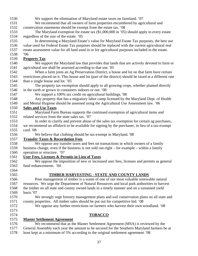1530 We support the elimination of Maryland estate taxes on farmland. '07 1531 We recommend that all owners of farm properties encumbered by agricultural and 1532 conservation easements should be exempt from the estate tax. '08 1533 The Maryland exemption for estate tax (\$1,000,000 in '05) should apply to every estate 1534 regardless of the size of the estate. '05 1535 In determining a Maryland Estate's value for Maryland Estate Tax purposes, the best use 1536 value used for Federal Estate Tax purposes should be replaced with the current agricultural real 1537 estate assessment value for all land used in or for agricultural purposes included in the estate. 1538 **'**06 1539 **Property Tax** 1540 We support the Maryland law that provides that lands that are actively devoted to farm or 1541 agricultural use shall be assessed according to that use. '05 1542 When a farm joins an Ag Preservation District, a house and lot on that farm have certain 1543 restrictions placed on it. This house and lot (part of the district) should be taxed at a different rate 1544 than a single house and lot*.* '05 1545 The property tax exemption should apply to all growing crops, whether planted directly 1546 in the earth or grown in containers indoors or out. '08 1547 We support a 100% tax credit on agricultural buildings*.* '08 1548 Any property that has a migratory labor camp licensed by the Maryland Dept. of Health 1549 and Mental Hygiene should be assessed using the Agricultural Use Assessment law. '06 1550 **Sales and Use Taxes** 1551 Maryland Farm Bureau supports the continued exemption of agricultural items and 1552 related services from the state sales tax. '07 1553 In order to clarify and prevent abuse of the sales tax exemption for certain ag purchases, 1554 we recommend an affidavit to be available for signing by the purchaser, in lieu of a tax-exempt 1555 card. '08 1556 We believe that clothing should be tax-exempt in Maryland. '08 1557 **Transfer Taxes & Recordation Fees** 1558 We oppose any transfer taxes and fees on transactions in which owners of a family 1559 business change, even if the business is not sold out-right – for example – within a family 1560 operation or structure. '07 1561 **User Fees, Licenses & Permits in Lieu of Taxes** 1562 We oppose the imposition of new or increased user fees, licenses and permits as general 1563 fund enhancements. '04 1564 1565 **TIMBER HARVESTING - STATE AND COUNTY LANDS** 1566 Poor management of timber is a waste of one of our most valuable renewable natural 1567 resources. We urge the Department of Natural Resources and local park authorities to harvest 1568 the timber on all state and county owned lands in a timely manner and on a sustained yield 1569 basis.'07 1570 We strongly urge forestry management plans and soil conservation plans on all state and 1571 county properties. All timber sales should be put out for competitive bid. '08 1572 We oppose any further restrictions on farmers who harvest their own woodland. '08 1573 1574 **TOBACCO** 1575 **Master Settlement Agreement** 1576 We recommend that as the Master Settlement Agreement (MSA) is reviewed by the 1577 General Assembly each year the amount to be secured for the Southern Maryland farmers be at 1578 least kept at a minimum of 5% according to the original settlement agreement. '08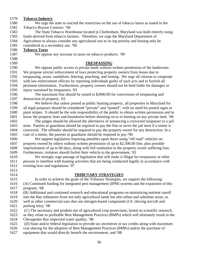| 1579         | <b>Tobacco Industry</b>                                                                                                                                    |
|--------------|------------------------------------------------------------------------------------------------------------------------------------------------------------|
| 1580         | We urge the state to rescind the restriction on the use of tobacco barns as stated in the                                                                  |
| 1581         | Tobacco Buyout Contract. '06                                                                                                                               |
| 1582         | The State Tobacco Warehouse located in Cheltenham, Maryland was built entirely using                                                                       |
| 1583         | funds derived from tobacco farmers. Therefore, we urge the Maryland Department of                                                                          |
| 1584         | Agriculture to always consider any agricultural use as its top priority and leasing only be                                                                |
| 1585         | considered as a secondary use. '06                                                                                                                         |
| 1586         | <b>Tobacco Taxes</b>                                                                                                                                       |
| 1587         | We oppose any increase in taxes on tobacco products. '09                                                                                                   |
| 1588         |                                                                                                                                                            |
| 1589         | <b>TRESPASSING</b>                                                                                                                                         |
| 1590         | We oppose public access to private lands without written permission of the landowner.                                                                      |
| 1591         | We propose stricter enforcement of laws protecting property owners from losses due to                                                                      |
| 1592         | trespassing, arson, vandalism, littering, poaching, and looting. We urge all citizens to cooperate                                                         |
| 1593         | with law enforcement officers by reporting individuals guilty of such acts and to furnish all                                                              |
| 1594         | pertinent information. Furthermore, property owners should not be held liable for damages or                                                               |
| 1595         | injury sustained by trespassers. '03                                                                                                                       |
| 1596         | The maximum fine should be raised to \$2000.00 for convictions of trespassing and                                                                          |
| 1597         | destruction of property. '03                                                                                                                               |
| 1598         | We believe that unless posted as public hunting property, all properties in Maryland for                                                                   |
| 1599         | all legal purposes should be considered "private" and "posted", with no need for posted signs or                                                           |
| 1600         | paint stripes. It should be the sole responsibility of the public to obtain written permission and to                                                      |
| 1601         | know the property lines and boundaries before shooting on to or hunting on any private land. '06                                                           |
| 1602         | The judges should be allowed the alternative of sentencing a convicted trespasser to a jail                                                                |
| 1603         | term. Parents or guardians should be required to pay the fine or serve the jail term if a minor is                                                         |
| 1604         | convicted. The offender should be required to pay the property owner for any destruction. In a                                                             |
| 1605         | case of a minor, the parents or guardians should be required to pay.'06                                                                                    |
| 1606         | We support legislation imposing penalties upon those using "off road" vehicles on                                                                          |
| 1607         | property owned by others without written permission of up to \$2,500.00 fine, plus possible                                                                |
| 1608         | imprisonment of up to 60 days, along with full restitution to the property owner suffering loss.                                                           |
| 1609         | Furthermore, violators should forfeit their vehicle to the government. '02                                                                                 |
| 1610         | We strongly urge passage of legislation that will make it illegal for trespassers or other                                                                 |
| 1611         | persons to interfere with hunting activities that are being conducted legally in accordance with                                                           |
| 1612         | existing laws and regulations.'07                                                                                                                          |
| 1613         |                                                                                                                                                            |
| 1614         | <b>TRIBUTARY STRATEGIES</b>                                                                                                                                |
| 1615         | In order to achieve the goals of the Tributary Strategies, we support the following:                                                                       |
| 1616         | (A) Continued funding for integrated pest management (IPM) systems and the expansion of this                                                               |
| 1617         | program; '08                                                                                                                                               |
| 1618         | (B) Additional and continued research and educational programs on minimizing nutrient runoff                                                               |
| 1619         | into the Bay tributaries from not only agricultural lands but also urban and suburban areas, as                                                            |
| 1620         | well as other commercial uses that use nitrogen-based compounds (I.E. deicing aircraft and                                                                 |
| 1621         | parking lots); '08                                                                                                                                         |
| 1622         | (C) The necessary and prudent use of agricultural crop protectants, based on scientific research,                                                          |
| 1623         | as they relate to profitable Best Management Practices (BMPs) which will ultimately result in the                                                          |
| 1624<br>1625 | Chesapeake Bay improved water quality; '08                                                                                                                 |
| 1626         | (D) State and/or federal legislation to provide tax incentives or tax credits along with maximum                                                           |
| 1627         | cost sharing for the adoption of Best Management Practices (BMPs) and/or the purchase of<br>equipment that would directly benefit the environment; and '08 |
|              |                                                                                                                                                            |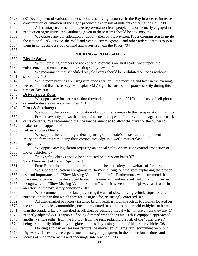1628 (E) Development of various methods to increase living resources in the Bay in order to increase 1629 consumption or filtration of the algae produced as a result of nutrients entering the Bay. '08 1630 All tributary teams should have representation from people now or formerly engaged in 1631 production agriculture. Any authority given to these teams should be advisory. '08 1632 We oppose any consideration or action taken by the Patuxent River Commission to invite 1633 the National Park Service, the Wild and Scenic Rivers Agency, and other federal entities to join 1634 them in conducting a study of land and water use near the River. '04 1635 1636 **TRUCKING & ROAD SAFETY** 1637 **Bicycle Safety** 1638 With increasing numbers of recreational bicyclists on rural roads, we support the 1639 enforcement and enhancement of existing safety laws. '07 1640 We recommend that scheduled bicycle events should be prohibited on roads without 1641 shoulders*.* '08 1642 While more bicycles are using rural roads earlier in the morning and later in the evening, 1643 we recommend that these bicycles display SMV signs because of the poor visibility during this 1644 time of day. '08 1645 **Driver Safety Rules** 1646 We oppose any further restriction (beyond that in place in 2010) on the use of cell phones 1647 or similar devices in motor vehicles. '10 1648 **Fines & Surcharges** 1649 We support the concept of allocation of truck fine revenues to the transportation fund. '07 1650 Present law only allows the driver of a truck to appeal a fine or violation against the truck 1651 or its contents. We recommend that the law be amended to allow the driver or the owner to 1652 make such an appeal. **'**06 1653 **Infrastructure Needs** 1654 We support the rebuilding and/or repairing of our state's infrastructure to prevent 1655 Maryland farmers from losing their competitive edge in a world marketplace. '08 1656 Inspections 1657 We oppose any legislation requiring an annual safety or emission control inspection of 1658 motor vehicles.'07 1659 Truck safety checks should be conducted on a random basis.'07 1660 **Safe Movement of Farm Equipment** 1661 Farm Bureau is committed to promoting the health, safety and welfare of farmers. 1662 We support educational programs for farmers throughout the state explaining the proper 1663 use and importance of a "Slow Moving Vehicle Emblem". Furthermore, we recommend that a 1664 mass media campaign be developed to reach the non-farm audience with information to aid in 1665 recognizing the "Slow Moving Vehicle Emblem" when it is seen on the highways and roads in 1666 an effort to improve safety conditions. '07 1667 We recommend that the law preventing the use of slow moving vehicle signs for any 1668 purpose other than that which they are designed for, be strongly enforced.'07 1669 All after-market or factory installed bright auxiliary lights, such as fog lights, located on 1670 the front of vehicles, automobiles, etc. and mounted in positions that are either higher or lower 1671 than the standard factory installed headlights, be declared illegal when in use unless they are (1) 1672 properly adjusted  $\&$  (2) capable of being dimmed when the vehicles thus equipped approached 1673 another vehicle either from the front or from the rear, reducing the risk of the "other driver" 1674 being temporarily blinded by the glare and possibly losing control of his or her vehicle*.* '08 1675 Planting and harvest seasons require the movement of large farm equipment on public 1676 highways. Therefore, we urge farmers to use good judgment in their selection of times and 1677 locales of such movements and encourage safe practices. '08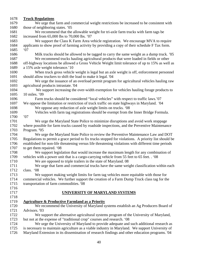#### 1678 **Truck Regulations**

| 101 U        | TT ACH TICHANAOH                                                                                     |
|--------------|------------------------------------------------------------------------------------------------------|
| 1679         | We urge that farm and commercial weight restrictions be increased to be consistent with              |
| 1680         | those of neighboring states. '05                                                                     |
| 1681         | We recommend that the allowable weight for tri-axle farm trucks with farm tags be                    |
| 1682         | increased from 65,000 lbs to 70,000 lbs. '07                                                         |
| 1683         | We support the Class K Farm Area vehicle registration. We encourage MVA to require                   |
| 1684         | applicants to show proof of farming activity by providing a copy of their schedule F Tax form.       |
| 1685         | 07                                                                                                   |
| 1686         | Milk trucks should be allowed to be tagged to carry the same weight as a dump truck. '05             |
| 1687         | We recommend trucks hauling agricultural products that were loaded in fields or other                |
| 1688         | off-highway locations be allowed a Gross Vehicle Weight limit tolerance of up to 15% as well as      |
| 1689         | a 15% axle weight tolerance.'10                                                                      |
| 1690         | When truck gross vehicle weight is legal but an axle weight is off, enforcement personnel            |
| 1691         | should allow truckers to shift the load to make it legal. '04                                        |
| 1692         | We urge the issuance of an overload permit program for agricultural vehicles hauling raw             |
| 1693         | agricultural products intrastate. '04                                                                |
| 1694         | We support increasing the over-width exemption for vehicles hauling forage products to               |
| 1695         | 10 miles. '09                                                                                        |
| 1696         | Farm trucks should be considered "local vehicles" with respect to traffic laws.'07                   |
| 1697         | We oppose the limitation or restriction of truck traffic on state highways in Maryland. '04          |
| 1698         | We oppose any reduction of axle weight limits on trucks. '08                                         |
| 1699         | Vehicles with farm tag registrations should be exempt from the Inner Bridge Formula.                 |
| 1700         | '07                                                                                                  |
| 1701         | We urge the Maryland State Police to minimize disruptions and avoid work stoppage                    |
| 1702         | where possible for farm trucks caused by roadside inspections, and the Preventive Maintenance        |
| 1703         | Program. '05                                                                                         |
| 1704         | We urge the Maryland State Police to review the Preventive Maintenance Law and DOT                   |
| 1705         | Regulations to permit a grace period to fix trucks stopped for violations. A priority list should be |
| 1706         | established for non-life threatening versus life threatening violations with different time periods  |
| 1707         | to get them repaired. '08                                                                            |
| 1708         | We support legislation that would increase the maximum length for any combination of                 |
| 1709         | vehicles with a power unit that is a cargo-carrying vehicle from 55 feet to 65 feet. . '08           |
| 1710         | We are opposed to triple trailers in the state of Maryland. 08                                       |
| 1711         | We urge that farm and commercial trucks have the same weight classification within each              |
| 1712         | class. '08                                                                                           |
| 1713         | We support making weight limits for farm tag vehicles more equitable with those for                  |
| 1714<br>1715 | commercial vehicles. We further support the creation of a Farm Dump Truck class tag for the          |
|              | transportation of farm commodities. '08                                                              |
| 1716         |                                                                                                      |
| 1717<br>1718 | UNIVERSITY OF MARYLAND SYSTEMS                                                                       |
|              |                                                                                                      |
| 1719<br>1720 | <b>Agriculture &amp; Productive Farmland as a Priority</b>                                           |
| 1721         | We recommend the University of Maryland systems establish an Ag Producers Board of<br>Advisors. '03  |
|              |                                                                                                      |
| 1722         | We support the alternative agricultural systems program of the University of Maryland,               |
| 1723<br>1724 | but not at the expense of "traditional crop" courses and research. '08                               |
| 1725         | We urge the University of Maryland to provide adequate and such additional research as               |
| 1726         | is necessary to maintain agriculture as a viable industry in Maryland. We support University of      |
|              | Maryland Extension in its dissemination of research findings and other education programs. '04       |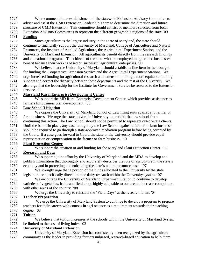- 1727 We recommend the reestablishment of the statewide Extension Advisory Committee to 1728 advise and assist the UMD Extension Leadership Team to determine the direction and future
- 1729 structure of UMD Extension. This committee should consist of members selected from local
- 1730 Extension Advisory Committees to represent the different geographic regions of the state.'09

# 1731 **Funding**

- 1732 Since agriculture is the largest industry in the State of Maryland, the state should
- 1733 continue to financially support the University of Maryland, College of Agriculture and Natural
- 1734 Resources, the Institute of Applied Agriculture, the Agricultural Experiment Station, and the
- 1735 University of Maryland Extension. All agriculturists benefit directly from the research findings 1736 and educational programs. The citizens of the state who are employed in ag-related businesses
- 1737 benefit because their work is based on successful agricultural enterprises. '00
- 1738 We believe that the University of Maryland should establish a line item in their budget 1739 for funding the Cooperative Extension Service and the Agricultural Experiment Stations. We 1740 urge increased funding for agricultural research and extension to bring a more equitable funding 1741 support and correct the disparity between these departments and the rest of the University. We 1742 also urge that the leadership for the Institute for Government Service be restored to the Extension
- 1743 Service. '03

# 1744 **Maryland Rural Enterprise Development Center**

1745 We support the MD Rural Enterprise Development Center, which provides assistance to 1746 farmers for business plan development. '08

# 1747 **Law School/Litigation**

- 1748 We oppose the University of Maryland School of Law filing suits against any farmer or 1749 farm business. We urge the state and/or the University to prohibit the law school from 1750 continuing this action. The Law School should not be permitted to represent out-of-state clients. 1751 Until the ban is in place, any case brought by the Law School against a farmer or farm business 1752 should be required to go through a state-approved mediation program before being accepted by 1753 the Court. If a case goes forward to Court, the state or the University should provide equal
- 1754 representation or compensation to the farmer or farm business. '10

# 1755 **Plant Protection Center**

- 1756 We support the creation of and funding for the Maryland Plant Protection Center. '06 1757 **Research and Data**
- 1758 We support a joint effort by the University of Maryland and the MDA to develop and 1759 publish information that thoroughly and accurately describes the role of agriculture in the state's 1760 economy and in protecting and enhancing the state's natural resource base. '07
- 1761 We strongly urge that a portion of the funds allocated to the University by the state 1762 legislature be specifically directed to the dairy research within the University system. '07
- 1763 We encourage the University of Maryland Experiment Station to continue to develop 1764 varieties of vegetables, fruits and field crops highly adaptable to our area to increase competition
- 1765 with other areas of the country. '08
- 1766 We urge the University to reinstate the "Field Days" at the research farms. '04

# 1767 **Teacher Preparation**

1768 We urge the University of Maryland System to continue to develop a program to prepare 1769 teachers for their careers with courses in agri-science as a requirement towards their teaching 1770 degree. '08

# 1771 **Tuition**

1772 We believe that tuition increases at the schools within the University of Maryland System 1773 be limited to the cost of living index. '03

# **University of Maryland Extension** 1774

1775 University of Maryland Extension has consistently been recognized by the agricultural 1776 community as the leader in providing farmers unbiased, research-based education to help them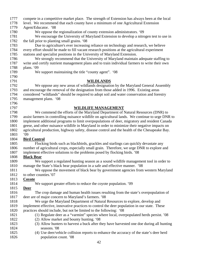| 1777 | compete in a competitive market place. The strength of Extension has always been at the local     |
|------|---------------------------------------------------------------------------------------------------|
| 1778 | level. We recommend that each county have a minimum of one Agricultural Extension                 |
| 1779 | Agent/Educator. '08                                                                               |
| 1780 | We oppose the regionalization of county extension administrators. '09                             |
| 1781 | We encourage the University of Maryland Extension to develop a nitrogen test to use in            |
| 1782 | the fall prior to planting small grains. '08                                                      |
| 1783 | Due to agriculture's ever increasing reliance on technology and research, we believe              |
| 1784 | every effort should be made to fill vacant research positions at the agricultural experiment      |
| 1785 | stations and specialist positions in the University of Maryland Extension.                        |
| 1786 | We strongly recommend that the University of Maryland maintain adequate staffing to               |
| 1787 | write and certify nutrient management plans and to train individual farmers to write their own    |
| 1788 | plans. '09                                                                                        |
| 1789 | We support maintaining the title "county agent". '08                                              |
| 1790 |                                                                                                   |
| 1791 | <b>WILDLANDS</b>                                                                                  |
| 1792 | We oppose any new areas of wildlands designation by the Maryland General Assembly                 |
| 1793 | and encourage the removal of the designation from those added in 1996. Existing areas             |
| 1794 | considered "wildlands" should be required to adopt soil and water conservation and forestry       |
| 1795 | management plans. '08                                                                             |
| 1796 |                                                                                                   |
| 1797 | <b>WILDLIFE MANAGEMENT</b>                                                                        |
| 1798 | We commend the efforts of the Maryland Department of Natural Resources (DNR) to                   |
| 1799 | assist farmers in controlling nuisance wildlife on agricultural lands. We continue to urge DNR to |
| 1800 | implement additional programs to limit overpopulations of deer, migratory and resident Canada     |
| 1801 | geese, and other nuisance wildlife in Maryland in order to minimize their negative impacts on     |
| 1802 | agricultural production, highway safety, disease control and the health of the Chesapeake Bay.    |
| 1803 | 09'                                                                                               |
| 1804 | <b>Bird Control</b>                                                                               |
| 1805 | Flocking birds such as blackbirds, grackles and starlings can quickly devastate any               |
| 1806 | number of agricultural crops, especially small grain. Therefore, we urge DNR to explore and       |
| 1807 | implement effective solutions to the problems posed by flocking birds. '08                        |
| 1808 | <b>Black Bear</b>                                                                                 |
| 1809 | We support a regulated hunting season as a sound wildlife management tool in order to             |
| 1810 | manage the State's black bear population in a safe and effective manner. '08                      |
| 1811 | We oppose the movement of black bear by government agencies from western Maryland                 |
| 1812 | to other counties.'07                                                                             |
| 1813 | <b>Coyote</b>                                                                                     |
| 1814 | We support greater efforts to reduce the coyote population. '09                                   |
| 1815 | <u>Deer</u>                                                                                       |
| 1816 | The crop damage and human health issues resulting from the state's overpopulation of              |
| 1817 | deer are of major concern to Maryland's farmers. '08                                              |
| 1818 | We urge the Maryland Department of Natural Resources to explore, develop and                      |
| 1819 | implement effective, innovative practices to control the deer population in our state. These      |
| 1820 | practices should include, but not be limited to the following: '08                                |
| 1821 | (1) Regulate deer as a "varmint" species where local, overpopulated herds persist. '08            |
| 1822 | (2) Allow market and bounty hunting. '08                                                          |
| 1823 | (3) Allow hunters to harvest a buck after they have harvested one doe during all hunting          |
| 1824 | seasons. '08                                                                                      |
| 1825 | (4) Use deer/vehicle collision reports to enhance the accuracy of the state's deer herd           |
| 1826 | population count. '08                                                                             |
|      |                                                                                                   |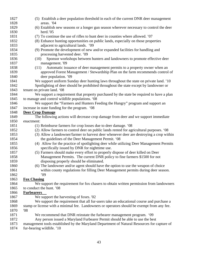| 1827 | (5) Establish a deer population threshold in each of the current DNR deer management        |
|------|---------------------------------------------------------------------------------------------|
| 1828 | areas. '04                                                                                  |
| 1829 | (6) Establish new seasons or a longer gun season wherever necessary to control the deer     |
| 1830 | herd. $05$                                                                                  |
| 1831 | (7) To continue the use of rifles to hunt deer in counties where allowed. '07               |
| 1832 | (8) Enhance hunting opportunities on public lands, especially on those properties           |
| 1833 | adjacent to agricultural lands. '09                                                         |
| 1834 | (9) Promote the development of new and/or expanded facilities for handling and              |
| 1835 | processing harvested deer. '09                                                              |
| 1836 | Sponsor workshops between hunters and landowners to promote effective deer<br>(10)          |
| 1837 | management. '09                                                                             |
| 1838 | Automatic issuance of deer management permits to a property owner when an<br>(11)           |
| 1839 | approved Forest Management / Stewardship Plan on the farm recommends control of             |
| 1840 | deer population. '09                                                                        |
| 1841 | We support uniform Sunday deer hunting laws throughout the state on private land. '10       |
| 1842 | Spotlighting of deer should be prohibited throughout the state except by landowner or       |
| 1843 | tenant on private land. '08                                                                 |
| 1844 | We support a requirement that property purchased by the state be required to have a plan    |
| 1845 | to manage and control wildlife populations. '08                                             |
| 1846 | We support the "Farmers and Hunters Feeding the Hungry" program and support an              |
| 1847 | increase in state funding for the program. '08                                              |
| 1848 | <b>Deer Crop Damage</b>                                                                     |
| 1849 | The following actions will decrease crop damage from deer and we support immediate          |
| 1850 | enactment:                                                                                  |
| 1851 | (1) Reimburse farmers for crop losses due to deer damage. '08                               |
| 1852 | (2) Allow farmers to control deer on public lands rented for agricultural purposes. '08     |
| 1853 | (3) Allow a landowner/farmer to harvest deer whenever deer are destroying a crop within     |
| 1854 | the guidelines of the Deer Management Permit. '08                                           |
| 1855 | (4) Allow for the practice of spotlighting deer while utilizing Deer Management Permits     |
| 1856 | specifically issued by DNR for nighttime use.                                               |
| 1857 | (5) Farmers should make every effort to properly dispose of deer killed on Deer             |
| 1858 | Management Permits. The current DNR policy to fine farmers \$1500 for not                   |
| 1859 | disposing properly should be eliminated.                                                    |
| 1860 | (6) The landowner and/or agent should have the option to use the weapon of choice           |
| 1861 | within county regulations for filling Deer Management permits during deer season.           |
| 1862 | 09'                                                                                         |
| 1863 | <b>Fox Chasing</b>                                                                          |
| 1864 | We support the requirement for fox chasers to obtain written permission from landowners     |
| 1865 | to conduct the hunt. '08                                                                    |
| 1866 | <b>Furbearers</b>                                                                           |
| 1867 | We support the harvesting of foxes. '02                                                     |
| 1868 | We support the requirement that all fur-users take an educational course and purchase a     |
| 1869 | stamp or license with a minimal fee. Landowners or operators should be exempt from any fee. |
| 1870 | 08                                                                                          |
| 1871 | We recommend that DNR reinstate the furbearer management program. '09                       |
| 1872 | Any person issued a Maryland Furbearer Permit should be able to use the best                |
| 1873 | management tools established by the Maryland Department of Natural Resources for capture of |
| 1874 | fur-bearing wildlife. '10                                                                   |
|      |                                                                                             |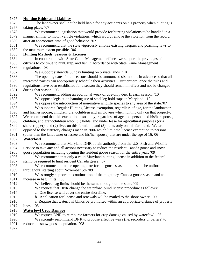#### 1875 **Hunting Ethics and Liability**

1876 The landowner shall not be held liable for any accidents on his property when hunting is 1877 taking place. '07

1878 We recommend legislation that would provide for hunting violations to be handled in a 1879 manner similar to motor vehicle violations, which would remove the violation from the record 1880 after an appropriate time of good behavior. '07

1881 We recommend that the state vigorously enforce existing trespass and poaching laws to 1882 the maximum extent possible. '06

#### 1883 **Hunting Methods, Seasons & Licenses**

1884 In cooperation with State Game Management efforts, we support the privileges of 1885 citizens to continue to hunt, trap, and fish in accordance with State Game Management 1886 regulations. '08

- - 1887 We support statewide Sunday hunting on private lands. '10

1888 The opening dates for all seasons should be announced six months in advance so that all 1889 interested parties can appropriately schedule their activities. Furthermore, once the rules and 1890 regulations have been established for a season they should remain in effect and not be changed 1891 during that season. '08

1892 We recommend adding an additional week of doe-only deer firearm season. '10

1893 We oppose legislation banning use of steel leg hold traps in Maryland. '10

- 1894 We oppose the introduction of non-native wildlife species to any area of the state.'07
- 1895 We support a Regular Hunting License exemption, regardless of age, for the landowner 1896 and his/her spouse, children, grandchildren and employees when hunting only on that property. 1897 We recommend that this exemption also apply, regardless of age, to a person and his/her spouse,
- 1898 children, and grandchildren who: (1) holds land under lease for agricultural purposes (or a
- 1899 sharecropper); and (2) lives on this farmland; and (3) hunts only on this farmland. We are

1900 opposed to the statutory changes made in 2006 which limit the license exemption to persons

1901 (other than the landowner or lessee and his/her spouse) that are under the age of 16.*'*06

#### 1902 **Waterfowl**

1903 We recommend that Maryland DNR obtain authority from the U.S. Fish and Wildlife 1904 Service to take any and all actions necessary to reduce the resident Canada goose and snow

1905 goose population including opening the resident goose season for the entire year. '09

1906 We recommend that only a valid Maryland hunting license in addition to the federal 1907 stamp be required to hunt resident Canada geese. '07

1908 We recommend that the opening date for the goose season in the state be uniform 1909 throughout, starting about November 5th.'09

- 1910 We strongly support the continuation of the migratory Canada goose season and an 1911 increase in bag limits. '08
- 1912 We believe bag limits should be the same throughout the state. '09
- 1913 We request that DNR change the waterfowl blind license procedure as follows:
- 1914 a. One license will cover the entire shoreline.
- 1915 b. Application for license and renewals will be mailed to the shore owner. '09
- 1916 c. Require that waterfowl blinds be prohibited within an appropriate distance of property
- 1917 lines. '08

#### 1918 **Waterfowl Crop Damage**

- 1919 We request DNR to reimburse farmers for crop damage caused by waterfowl. '08 1920 We strongly recommend DNR to propose effective ways (i.e. recorders or baiters) to 1921 reduce the snow goose population. '08
- 1922